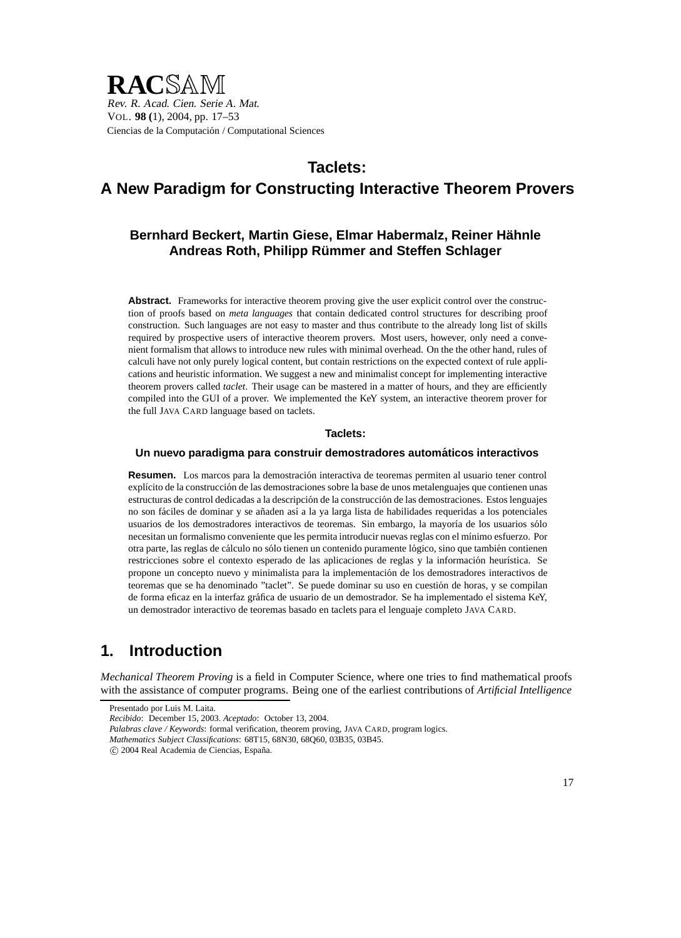## $RACSAM$ Rev. R. Acad. Cien. Serie A. Mat. VOL. **98 (**1), 2004, pp. 17–53 Ciencias de la Computación / Computational Sciences

# **Taclets:**

# **A New Paradigm for Constructing Interactive Theorem Provers**

## **Bernhard Beckert, Martin Giese, Elmar Habermalz, Reiner Hahnle ¨ Andreas Roth, Philipp Rümmer and Steffen Schlager**

**Abstract.** Frameworks for interactive theorem proving give the user explicit control over the construction of proofs based on *meta languages* that contain dedicated control structures for describing proof construction. Such languages are not easy to master and thus contribute to the already long list of skills required by prospective users of interactive theorem provers. Most users, however, only need a convenient formalism that allows to introduce new rules with minimal overhead. On the the other hand, rules of calculi have not only purely logical content, but contain restrictions on the expected context of rule applications and heuristic information. We suggest a new and minimalist concept for implementing interactive theorem provers called *taclet*. Their usage can be mastered in a matter of hours, and they are efficiently compiled into the GUI of a prover. We implemented the KeY system, an interactive theorem prover for the full JAVA CARD language based on taclets.

#### **Taclets:**

#### **Un nuevo paradigma para construir demostradores automaticos interactivos ´**

Resumen. Los marcos para la demostración interactiva de teoremas permiten al usuario tener control explícito de la construcción de las demostraciones sobre la base de unos metalenguajes que contienen unas estructuras de control dedicadas a la descripción de la construcción de las demostraciones. Estos lenguajes no son fáciles de dominar y se añaden así a la ya larga lista de habilidades requeridas a los potenciales usuarios de los demostradores interactivos de teoremas. Sin embargo, la mayoría de los usuarios sólo necesitan un formalismo conveniente que les permita introducir nuevas reglas con el mínimo esfuerzo. Por otra parte, las reglas de cálculo no sólo tienen un contenido puramente lógico, sino que también contienen restricciones sobre el contexto esperado de las aplicaciones de reglas y la información heurística. Se propone un concepto nuevo y minimalista para la implementación de los demostradores interactivos de teoremas que se ha denominado "taclet". Se puede dominar su uso en cuestión de horas, y se compilan de forma eficaz en la interfaz gráfica de usuario de un demostrador. Se ha implementado el sistema KeY, un demostrador interactivo de teoremas basado en taclets para el lenguaje completo JAVA CARD.

# **1. Introduction**

*Mechanical Theorem Proving* is a field in Computer Science, where one tries to find mathematical proofs with the assistance of computer programs. Being one of the earliest contributions of *Artificial Intelligence*

Presentado por Luis M. Laita.

*Recibido*: December 15, 2003. *Aceptado*: October 13, 2004.

*Palabras clave / Keywords*: formal verification, theorem proving, JAVA CARD, program logics.

*Mathematics Subject Classifications*: 68T15, 68N30, 68Q60, 03B35, 03B45.

c 2004 Real Academia de Ciencias, Espa˜na.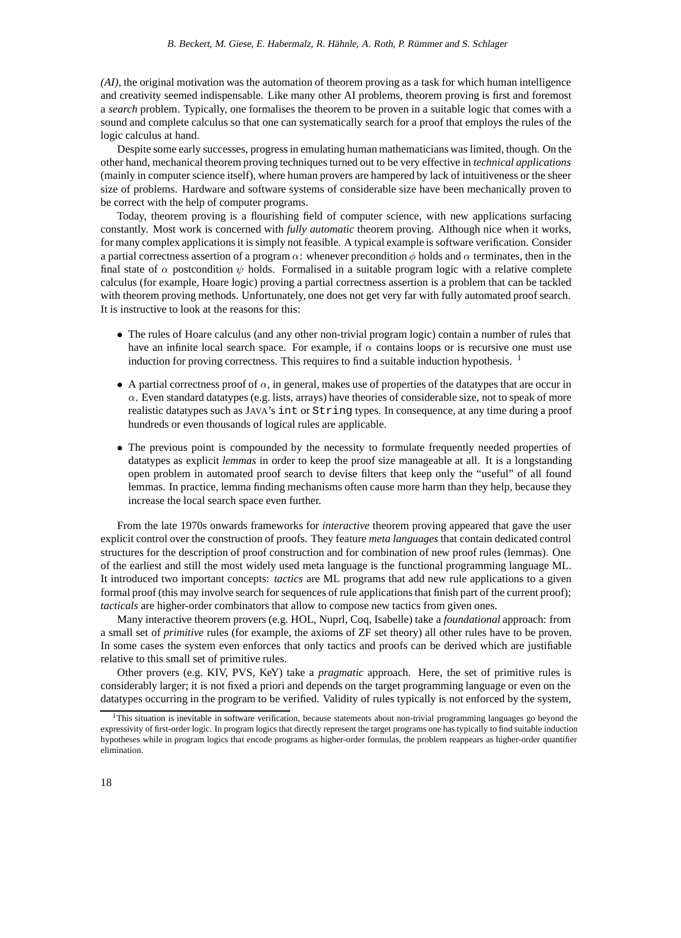*(AI)*, the original motivation was the automation of theorem proving as a task for which human intelligence and creativity seemed indispensable. Like many other AI problems, theorem proving is first and foremost a *search* problem. Typically, one formalises the theorem to be proven in a suitable logic that comes with a sound and complete calculus so that one can systematically search for a proof that employs the rules of the logic calculus at hand.

Despite some early successes, progress in emulating human mathematicians was limited, though. On the other hand, mechanical theorem proving techniques turned out to be very effective in *technical applications* (mainly in computer science itself), where human provers are hampered by lack of intuitiveness or the sheer size of problems. Hardware and software systems of considerable size have been mechanically proven to be correct with the help of computer programs.

Today, theorem proving is a flourishing field of computer science, with new applications surfacing constantly. Most work is concerned with *fully automatic* theorem proving. Although nice when it works, for many complex applications it is simply not feasible. A typical example is software verification. Consider a partial correctness assertion of a program  $\alpha$ : whenever precondition  $\phi$  holds and  $\alpha$  terminates, then in the final state of  $\alpha$  postcondition  $\psi$  holds. Formalised in a suitable program logic with a relative complete calculus (for example, Hoare logic) proving a partial correctness assertion is a problem that can be tackled with theorem proving methods. Unfortunately, one does not get very far with fully automated proof search. It is instructive to look at the reasons for this:

- The rules of Hoare calculus (and any other non-trivial program logic) contain a number of rules that have an infinite local search space. For example, if  $\alpha$  contains loops or is recursive one must use induction for proving correctness. This requires to find a suitable induction hypothesis. <sup>1</sup>
- $\bullet$  A partial correctness proof of  $\alpha$ , in general, makes use of properties of the datatypes that are occur in  $\alpha$ . Even standard datatypes (e.g. lists, arrays) have theories of considerable size, not to speak of more realistic datatypes such as JAVA's int or String types. In consequence, at any time during a proof hundreds or even thousands of logical rules are applicable.
- The previous point is compounded by the necessity to formulate frequently needed properties of datatypes as explicit *lemmas* in order to keep the proof size manageable at all. It is a longstanding open problem in automated proof search to devise filters that keep only the "useful" of all found lemmas. In practice, lemma finding mechanisms often cause more harm than they help, because they increase the local search space even further.

From the late 1970s onwards frameworks for *interactive* theorem proving appeared that gave the user explicit control over the construction of proofs. They feature *meta languages* that contain dedicated control structures for the description of proof construction and for combination of new proof rules (lemmas). One of the earliest and still the most widely used meta language is the functional programming language ML. It introduced two important concepts: *tactics* are ML programs that add new rule applications to a given formal proof (this may involve search for sequences of rule applications that finish part of the current proof); *tacticals* are higher-order combinators that allow to compose new tactics from given ones.

Many interactive theorem provers (e.g. HOL, Nuprl, Coq, Isabelle) take a *foundational* approach: from a small set of *primitive* rules (for example, the axioms of ZF set theory) all other rules have to be proven. In some cases the system even enforces that only tactics and proofs can be derived which are justifiable relative to this small set of primitive rules.

Other provers (e.g. KIV, PVS, KeY) take a *pragmatic* approach. Here, the set of primitive rules is considerably larger; it is not fixed a priori and depends on the target programming language or even on the datatypes occurring in the program to be verified. Validity of rules typically is not enforced by the system,

<sup>1</sup>This situation is inevitable in software verification, because statements about non-trivial programming languages go beyond the expressivity of first-order logic. In program logics that directly represent the target programs one has typically to find suitable induction hypotheses while in program logics that encode programs as higher-order formulas, the problem reappears as higher-order quantifier elimination.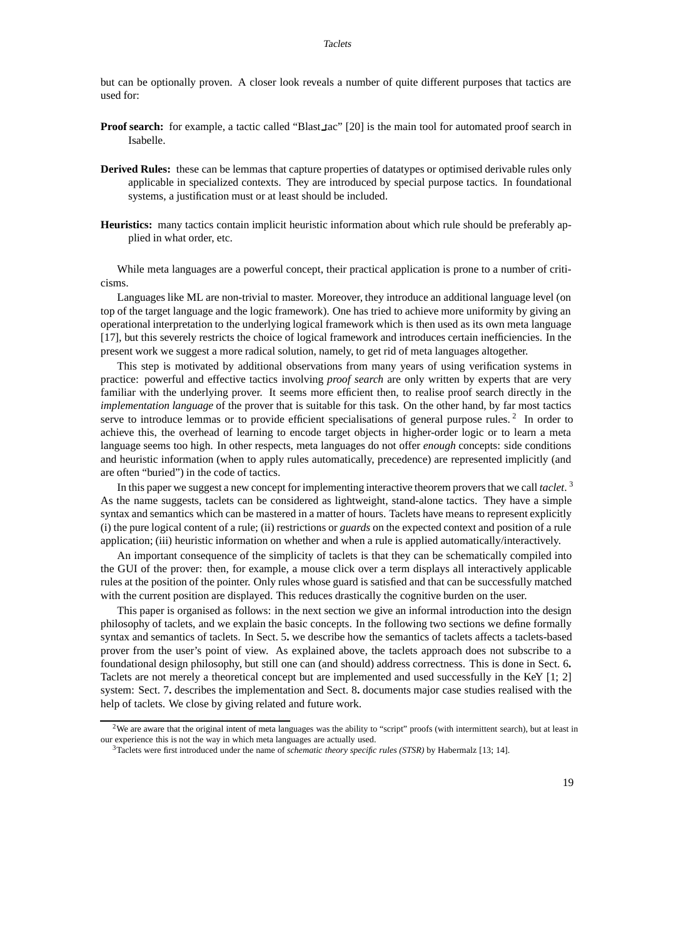but can be optionally proven. A closer look reveals a number of quite different purposes that tactics are used for:

- **Proof search:** for example, a tactic called "Blast tac" [20] is the main tool for automated proof search in Isabelle.
- **Derived Rules:** these can be lemmas that capture properties of datatypes or optimised derivable rules only applicable in specialized contexts. They are introduced by special purpose tactics. In foundational systems, a justification must or at least should be included.
- **Heuristics:** many tactics contain implicit heuristic information about which rule should be preferably applied in what order, etc.

While meta languages are a powerful concept, their practical application is prone to a number of criticisms.

Languages like ML are non-trivial to master. Moreover, they introduce an additional language level (on top of the target language and the logic framework). One has tried to achieve more uniformity by giving an operational interpretation to the underlying logical framework which is then used as its own meta language [17], but this severely restricts the choice of logical framework and introduces certain inefficiencies. In the present work we suggest a more radical solution, namely, to get rid of meta languages altogether.

This step is motivated by additional observations from many years of using verification systems in practice: powerful and effective tactics involving *proof search* are only written by experts that are very familiar with the underlying prover. It seems more efficient then, to realise proof search directly in the *implementation language* of the prover that is suitable for this task. On the other hand, by far most tactics serve to introduce lemmas or to provide efficient specialisations of general purpose rules.<sup>2</sup> In order to achieve this, the overhead of learning to encode target objects in higher-order logic or to learn a meta language seems too high. In other respects, meta languages do not offer *enough* concepts: side conditions and heuristic information (when to apply rules automatically, precedence) are represented implicitly (and are often "buried") in the code of tactics.

In this paper we suggest a new concept for implementing interactive theorem provers that we call *taclet*. <sup>3</sup> As the name suggests, taclets can be considered as lightweight, stand-alone tactics. They have a simple syntax and semantics which can be mastered in a matter of hours. Taclets have means to represent explicitly (i) the pure logical content of a rule; (ii) restrictions or *guards* on the expected context and position of a rule application; (iii) heuristic information on whether and when a rule is applied automatically/interactively.

An important consequence of the simplicity of taclets is that they can be schematically compiled into the GUI of the prover: then, for example, a mouse click over a term displays all interactively applicable rules at the position of the pointer. Only rules whose guard is satisfied and that can be successfully matched with the current position are displayed. This reduces drastically the cognitive burden on the user.

This paper is organised as follows: in the next section we give an informal introduction into the design philosophy of taclets, and we explain the basic concepts. In the following two sections we define formally syntax and semantics of taclets. In Sect. 5**.** we describe how the semantics of taclets affects a taclets-based prover from the user's point of view. As explained above, the taclets approach does not subscribe to a foundational design philosophy, but still one can (and should) address correctness. This is done in Sect. 6**.** Taclets are not merely a theoretical concept but are implemented and used successfully in the KeY [1; 2] system: Sect. 7**.** describes the implementation and Sect. 8**.** documents major case studies realised with the help of taclets. We close by giving related and future work.

<sup>&</sup>lt;sup>2</sup>We are aware that the original intent of meta languages was the ability to "script" proofs (with intermittent search), but at least in our experience this is not the way in which meta languages are actually used.

<sup>3</sup>Taclets were first introduced under the name of *schematic theory specific rules (STSR)* by Habermalz [13; 14].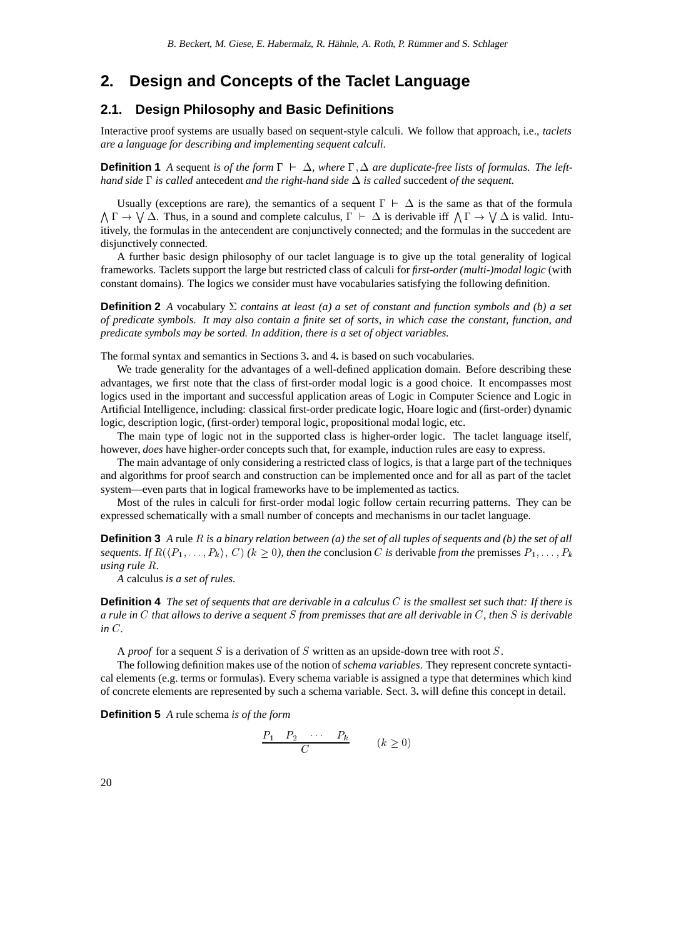## **2. Design and Concepts of the Taclet Language**

### **2.1. Design Philosophy and Basic Definitions**

Interactive proof systems are usually based on sequent-style calculi. We follow that approach, i.e., *taclets are a language for describing and implementing sequent calculi*.

**Definition 1** *A* sequent *is of the form*  $\Gamma \vdash \Delta$ , where  $\Gamma$ ,  $\Delta$  are duplicate-free lists of formulas. The left*hand side*  $\Gamma$  *is called* antecedent *and the right-hand side*  $\Delta$  *is called* succedent *of the sequent.* 

Usually (exceptions are rare), the semantics of a sequent  $\Gamma \vdash \Delta$  is the same as that of the formula  $\bigwedge \Gamma \to \bigvee \Delta$ . Thus, in a sound and complete calculus,  $\Gamma \vdash \Delta$  is derivable iff  $\bigwedge \Gamma \to \bigvee \Delta$  is valid. Intuitively, the formulas in the antecendent are conjunctively connected; and the formulas in the succedent are disjunctively connected.

A further basic design philosophy of our taclet language is to give up the total generality of logical frameworks. Taclets support the large but restricted class of calculi for *first-order (multi-)modal logic* (with constant domains). The logics we consider must have vocabularies satisfying the following definition.

**Definition 2** *A* vocabulary  $\Sigma$  contains at least (a) a set of constant and function symbols and (b) a set *of predicate symbols. It may also contain a finite set of sorts, in which case the constant, function, and predicate symbols may be sorted. In addition, there is a set of object variables.*

The formal syntax and semantics in Sections 3**.** and 4**.** is based on such vocabularies.

We trade generality for the advantages of a well-defined application domain. Before describing these advantages, we first note that the class of first-order modal logic is a good choice. It encompasses most logics used in the important and successful application areas of Logic in Computer Science and Logic in Artificial Intelligence, including: classical first-order predicate logic, Hoare logic and (first-order) dynamic logic, description logic, (first-order) temporal logic, propositional modal logic, etc.

The main type of logic not in the supported class is higher-order logic. The taclet language itself, however, *does* have higher-order concepts such that, for example, induction rules are easy to express.

The main advantage of only considering a restricted class of logics, is that a large part of the techniques and algorithms for proof search and construction can be implemented once and for all as part of the taclet system—even parts that in logical frameworks have to be implemented as tactics.

Most of the rules in calculi for first-order modal logic follow certain recurring patterns. They can be expressed schematically with a small number of concepts and mechanisms in our taclet language.

**Definition 3** *A* rule *R* is a binary relation between (a) the set of all tuples of sequents and (b) the set of all *sequents. If*  $R(\langle P_1,\ldots,P_k\rangle, C)$  ( $k\geq 0$ ), then the conclusion C is derivable from the premisses  $P_1,\ldots,P_k$ *using rule R.* 

*A* calculus *is a set of rules.*

**Definition 4** *The set of sequents that are derivable in a calculus is the smallest set such that: If there is a rule in that allows to derive a sequent from premisses that are all derivable in , then is derivable*  $in C$ .

A *proof* for a sequent  $S$  is a derivation of  $S$  written as an upside-down tree with root  $S$ .

The following definition makes use of the notion of *schema variables*. They represent concrete syntactical elements (e.g. terms or formulas). Every schema variable is assigned a type that determines which kind of concrete elements are represented by such a schema variable. Sect. 3**.** will define this concept in detail.

**Definition 5** *A* rule schema *is of the form*

$$
\frac{P_1 \quad P_2 \quad \cdots \quad P_k}{C} \qquad (k \ge 0)
$$

20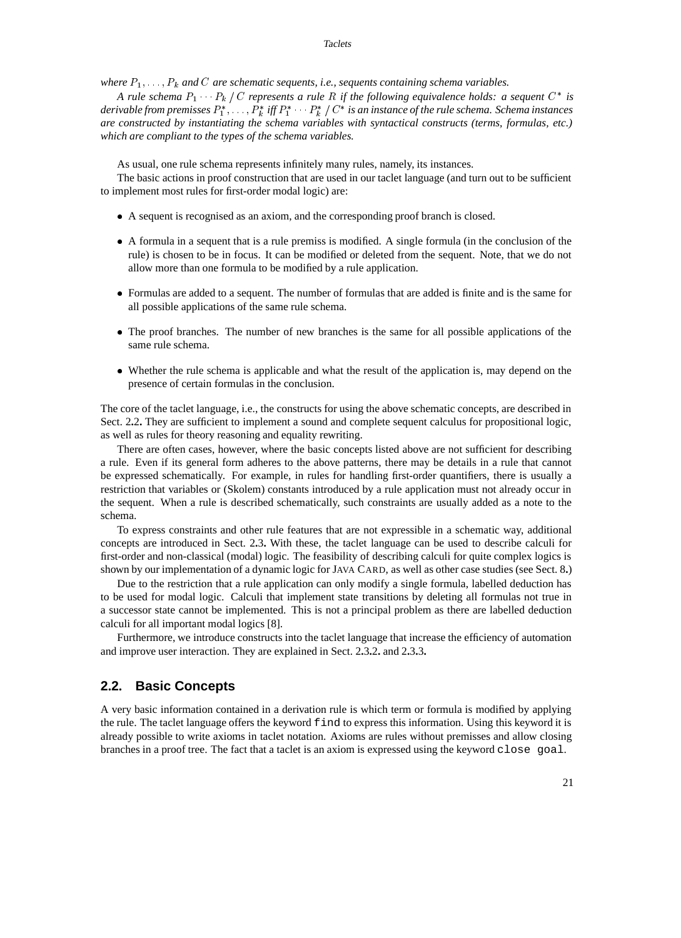*where*  $P_1, \ldots, P_k$  and C are schematic sequents, i.e., sequents containing schema variables.

*A rule schema*  $P_1 \cdots P_k$  / C represents a rule R if the following equivalence holds: a sequent  $C^*$  is derivable from premisses  $P_1^*,\ldots,P_k^*$  iff  $P_1^*\cdots P_k^*$  /  $C^*$  is an instance of the rule schema. Schema instances *are constructed by instantiating the schema variables with syntactical constructs (terms, formulas, etc.) which are compliant to the types of the schema variables.*

As usual, one rule schema represents infinitely many rules, namely, its instances.

The basic actions in proof construction that are used in our taclet language (and turn out to be sufficient to implement most rules for first-order modal logic) are:

- A sequent is recognised as an axiom, and the corresponding proof branch is closed.
- A formula in a sequent that is a rule premiss is modified. A single formula (in the conclusion of the rule) is chosen to be in focus. It can be modified or deleted from the sequent. Note, that we do not allow more than one formula to be modified by a rule application.
- Formulas are added to a sequent. The number of formulas that are added is finite and is the same for all possible applications of the same rule schema.
- The proof branches. The number of new branches is the same for all possible applications of the same rule schema.
- Whether the rule schema is applicable and what the result of the application is, may depend on the presence of certain formulas in the conclusion.

The core of the taclet language, i.e., the constructs for using the above schematic concepts, are described in Sect. 2**.**2**.** They are sufficient to implement a sound and complete sequent calculus for propositional logic, as well as rules for theory reasoning and equality rewriting.

There are often cases, however, where the basic concepts listed above are not sufficient for describing a rule. Even if its general form adheres to the above patterns, there may be details in a rule that cannot be expressed schematically. For example, in rules for handling first-order quantifiers, there is usually a restriction that variables or (Skolem) constants introduced by a rule application must not already occur in the sequent. When a rule is described schematically, such constraints are usually added as a note to the schema.

To express constraints and other rule features that are not expressible in a schematic way, additional concepts are introduced in Sect. 2**.**3**.** With these, the taclet language can be used to describe calculi for first-order and non-classical (modal) logic. The feasibility of describing calculi for quite complex logics is shown by our implementation of a dynamic logic for JAVA CARD, as well as other case studies (see Sect. 8**.**)

Due to the restriction that a rule application can only modify a single formula, labelled deduction has to be used for modal logic. Calculi that implement state transitions by deleting all formulas not true in a successor state cannot be implemented. This is not a principal problem as there are labelled deduction calculi for all important modal logics [8].

Furthermore, we introduce constructs into the taclet language that increase the efficiency of automation and improve user interaction. They are explained in Sect. 2**.**3**.**2**.** and 2**.**3**.**3**.**

### **2.2. Basic Concepts**

A very basic information contained in a derivation rule is which term or formula is modified by applying the rule. The taclet language offers the keyword find to express this information. Using this keyword it is already possible to write axioms in taclet notation. Axioms are rules without premisses and allow closing branches in a proof tree. The fact that a taclet is an axiom is expressed using the keyword close goal.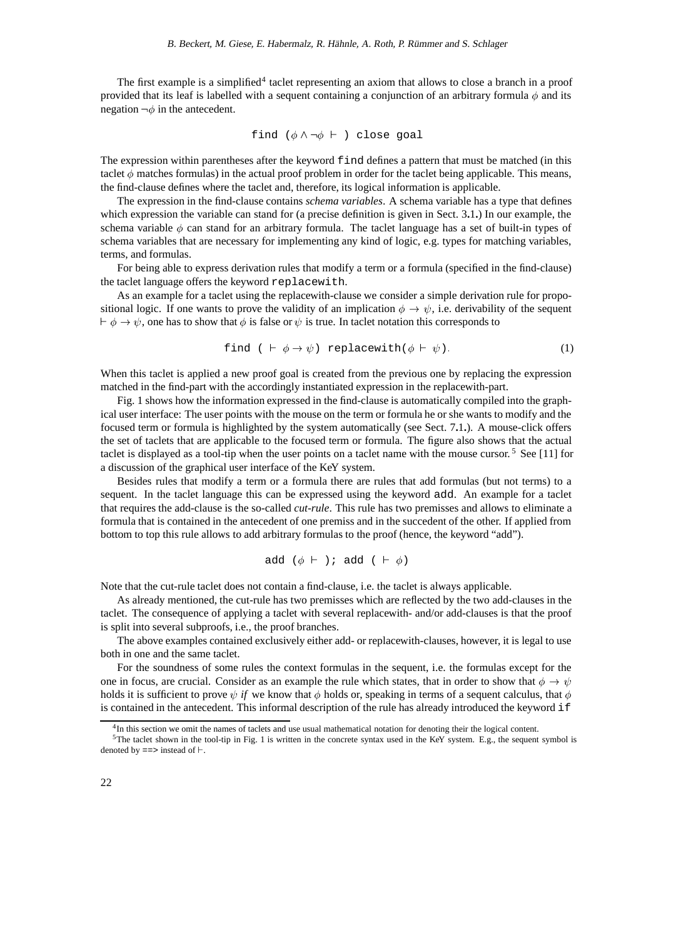The first example is a simplified<sup>4</sup> taclet representing an axiom that allows to close a branch in a proof provided that its leaf is labelled with a sequent containing a conjunction of an arbitrary formula  $\phi$  and its negation  $\neg \phi$  in the antecedent.

find 
$$
(\phi \land \neg \phi \vdash)
$$
 close goal

The expression within parentheses after the keyword find defines a pattern that must be matched (in this taclet  $\phi$  matches formulas) in the actual proof problem in order for the taclet being applicable. This means, the find-clause defines where the taclet and, therefore, its logical information is applicable.

The expression in the find-clause contains *schema variables*. A schema variable has a type that defines which expression the variable can stand for (a precise definition is given in Sect. 3**.**1**.**) In our example, the schema variable  $\phi$  can stand for an arbitrary formula. The taclet language has a set of built-in types of schema variables that are necessary for implementing any kind of logic, e.g. types for matching variables, terms, and formulas.

For being able to express derivation rules that modify a term or a formula (specified in the find-clause) the taclet language offers the keyword replacewith.

As an example for a taclet using the replacewith-clause we consider a simple derivation rule for propositional logic. If one wants to prove the validity of an implication  $\phi \to \psi$ , i.e. derivability of the sequent  $\vdash \phi \to \psi$ , one has to show that  $\phi$  is false or  $\psi$  is true. In taclet notation this corresponds to

find 
$$
(\vdash \phi \rightarrow \psi)
$$
 replacewith $(\phi \vdash \psi)$ . (1)

When this taclet is applied a new proof goal is created from the previous one by replacing the expression matched in the find-part with the accordingly instantiated expression in the replacewith-part.

Fig. 1 shows how the information expressed in the find-clause is automatically compiled into the graphical user interface: The user points with the mouse on the term or formula he or she wants to modify and the focused term or formula is highlighted by the system automatically (see Sect. 7**.**1**.**). A mouse-click offers the set of taclets that are applicable to the focused term or formula. The figure also shows that the actual taclet is displayed as a tool-tip when the user points on a taclet name with the mouse cursor.<sup>5</sup> See [11] for a discussion of the graphical user interface of the KeY system.

Besides rules that modify a term or a formula there are rules that add formulas (but not terms) to a sequent. In the taclet language this can be expressed using the keyword add. An example for a taclet that requires the add-clause is the so-called *cut-rule*. This rule has two premisses and allows to eliminate a formula that is contained in the antecedent of one premiss and in the succedent of the other. If applied from bottom to top this rule allows to add arbitrary formulas to the proof (hence, the keyword "add").

add 
$$
(\phi \vdash)
$$
 i add  $(\vdash \phi)$ 

Note that the cut-rule taclet does not contain a find-clause, i.e. the taclet is always applicable.

As already mentioned, the cut-rule has two premisses which are reflected by the two add-clauses in the taclet. The consequence of applying a taclet with several replacewith- and/or add-clauses is that the proof is split into several subproofs, i.e., the proof branches.

The above examples contained exclusively either add- or replacewith-clauses, however, it is legal to use both in one and the same taclet.

For the soundness of some rules the context formulas in the sequent, i.e. the formulas except for the one in focus, are crucial. Consider as an example the rule which states, that in order to show that  $\phi \to \psi$ holds it is sufficient to prove  $\psi$  *if* we know that  $\phi$  holds or, speaking in terms of a sequent calculus, that  $\phi$ is contained in the antecedent. This informal description of the rule has already introduced the keyword  $if$ 

<sup>&</sup>lt;sup>4</sup>In this section we omit the names of taclets and use usual mathematical notation for denoting their the logical content.

<sup>5</sup>The taclet shown in the tool-tip in Fig. 1 is written in the concrete syntax used in the KeY system. E.g., the sequent symbol is denoted by  $==$  instead of  $\vdash$ .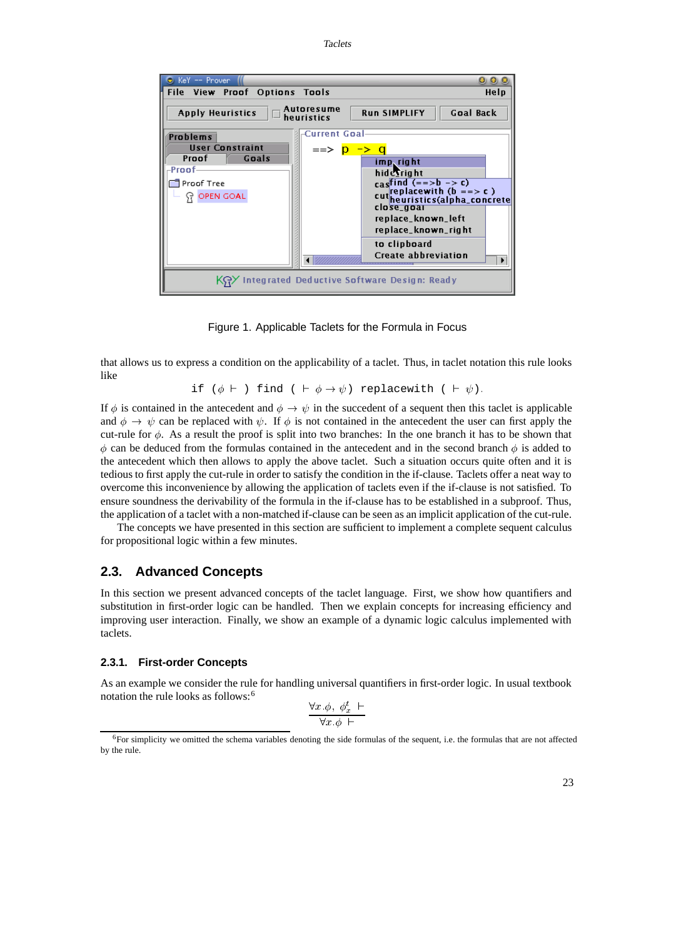**Taclets** 



Figure 1. Applicable Taclets for the Formula in Focus

that allows us to express a condition on the applicability of a taclet. Thus, in taclet notation this rule looks like

if ( $\phi$   $\vdash$  ) find (  $\vdash$   $\phi$   $\rightarrow$   $\psi$ ) replacewith (  $\vdash$   $\psi$ ).

If  $\phi$  is contained in the antecedent and  $\phi \to \psi$  in the succedent of a sequent then this taclet is applicable and  $\phi \to \psi$  can be replaced with  $\psi$ . If  $\phi$  is not contained in the antecedent the user can first apply the cut-rule for  $\phi$ . As a result the proof is split into two branches: In the one branch it has to be shown that  $\phi$  can be deduced from the formulas contained in the antecedent and in the second branch  $\phi$  is added to the antecedent which then allows to apply the above taclet. Such a situation occurs quite often and it is tedious to first apply the cut-rule in order to satisfy the condition in the if-clause. Taclets offer a neat way to overcome this inconvenience by allowing the application of taclets even if the if-clause is not satisfied. To ensure soundness the derivability of the formula in the if-clause has to be established in a subproof. Thus, the application of a taclet with a non-matched if-clause can be seen as an implicit application of the cut-rule.

The concepts we have presented in this section are sufficient to implement a complete sequent calculus for propositional logic within a few minutes.

#### **2.3. Advanced Concepts**

In this section we present advanced concepts of the taclet language. First, we show how quantifiers and substitution in first-order logic can be handled. Then we explain concepts for increasing efficiency and improving user interaction. Finally, we show an example of a dynamic logic calculus implemented with taclets.

#### **2.3.1. First-order Concepts**

As an example we consider the rule for handling universal quantifiers in first-order logic. In usual textbook notation the rule looks as follows:<sup>6</sup>

$$
\frac{\forall x.\phi, \phi_x^t \ \vdash}{\forall x.\phi \ \vdash}
$$

<sup>&</sup>lt;sup>6</sup>For simplicity we omitted the schema variables denoting the side formulas of the sequent, i.e. the formulas that are not affected by the rule.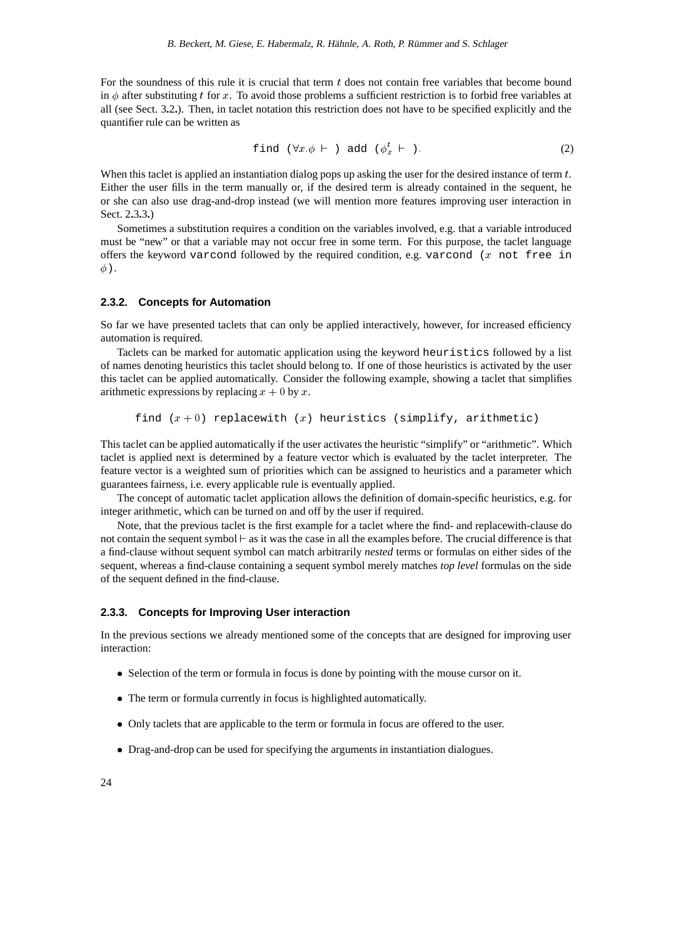For the soundness of this rule it is crucial that term  $t$  does not contain free variables that become bound in  $\phi$  after substituting t for x. To avoid those problems a sufficient restriction is to forbid free variables at all (see Sect. 3**.**2**.**). Then, in taclet notation this restriction does not have to be specified explicitly and the quantifier rule can be written as

find 
$$
(\forall x.\phi \vdash)
$$
 add  $(\phi_x^t \vdash)$ . (2)

When this taclet is applied an instantiation dialog pops up asking the user for the desired instance of term  $t$ . Either the user fills in the term manually or, if the desired term is already contained in the sequent, he or she can also use drag-and-drop instead (we will mention more features improving user interaction in Sect. 2**.**3**.**3**.**)

Sometimes a substitution requires a condition on the variables involved, e.g. that a variable introduced must be "new" or that a variable may not occur free in some term. For this purpose, the taclet language offers the keyword varcond followed by the required condition, e.g. varcond  $(x \text{ not free in})$  $\phi$ ).

#### **2.3.2. Concepts for Automation**

So far we have presented taclets that can only be applied interactively, however, for increased efficiency automation is required.

Taclets can be marked for automatic application using the keyword heuristics followed by a list of names denoting heuristics this taclet should belong to. If one of those heuristics is activated by the user this taclet can be applied automatically. Consider the following example, showing a taclet that simplifies arithmetic expressions by replacing  $x + 0$  by  $x$ .

find  $(x + 0)$  replacewith  $(x)$  heuristics (simplify, arithmetic)

This taclet can be applied automatically if the user activates the heuristic "simplify" or "arithmetic". Which taclet is applied next is determined by a feature vector which is evaluated by the taclet interpreter. The feature vector is a weighted sum of priorities which can be assigned to heuristics and a parameter which guarantees fairness, i.e. every applicable rule is eventually applied.

The concept of automatic taclet application allows the definition of domain-specific heuristics, e.g. for integer arithmetic, which can be turned on and off by the user if required.

Note, that the previous taclet is the first example for a taclet where the find- and replacewith-clause do not contain the sequent symbol  $\vdash$  as it was the case in all the examples before. The crucial difference is that a find-clause without sequent symbol can match arbitrarily *nested* terms or formulas on either sides of the sequent, whereas a find-clause containing a sequent symbol merely matches *top level* formulas on the side of the sequent defined in the find-clause.

#### **2.3.3. Concepts for Improving User interaction**

In the previous sections we already mentioned some of the concepts that are designed for improving user interaction:

- Selection of the term or formula in focus is done by pointing with the mouse cursor on it.
- The term or formula currently in focus is highlighted automatically.
- Only taclets that are applicable to the term or formula in focus are offered to the user.
- Drag-and-drop can be used for specifying the arguments in instantiation dialogues.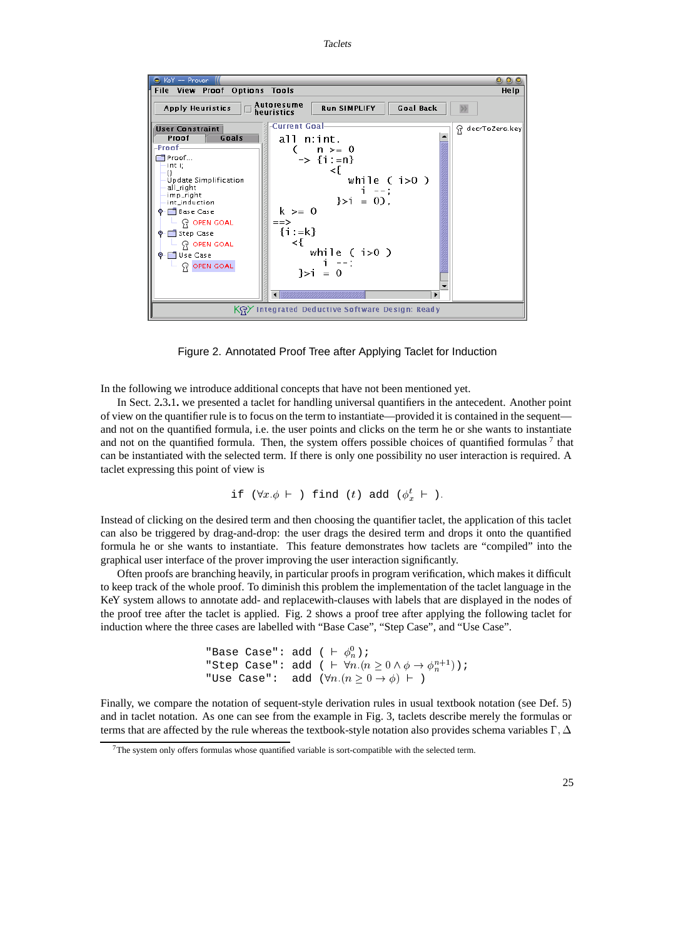#### **Taclets**



Figure 2. Annotated Proof Tree after Applying Taclet for Induction

In the following we introduce additional concepts that have not been mentioned yet.

In Sect. 2**.**3**.**1**.** we presented a taclet for handling universal quantifiers in the antecedent. Another point of view on the quantifier rule is to focus on the term to instantiate—provided it is contained in the sequent and not on the quantified formula, i.e. the user points and clicks on the term he or she wants to instantiate and not on the quantified formula. Then, the system offers possible choices of quantified formulas  $\frac{7}{1}$  that can be instantiated with the selected term. If there is only one possibility no user interaction is required. A taclet expressing this point of view is

if 
$$
(\forall x.\phi \vdash)
$$
 find  $(t)$  add  $(\phi_x^t \vdash)$ .

Instead of clicking on the desired term and then choosing the quantifier taclet, the application of this taclet can also be triggered by drag-and-drop: the user drags the desired term and drops it onto the quantified formula he or she wants to instantiate. This feature demonstrates how taclets are "compiled" into the graphical user interface of the prover improving the user interaction significantly.

Often proofs are branching heavily, in particular proofs in program verification, which makes it difficult to keep track of the whole proof. To diminish this problem the implementation of the taclet language in the KeY system allows to annotate add- and replacewith-clauses with labels that are displayed in the nodes of the proof tree after the taclet is applied. Fig. 2 shows a proof tree after applying the following taclet for induction where the three cases are labelled with "Base Case", "Step Case", and "Use Case".

```
"Base Case": add ( \vdash \phi^0_n );
"Step Case": add ( \vdash \forall n.(n \geq 0 \land \phi \rightarrow \phi_n^{n+1}));
"Use Case": add (\forall n.(n \geq 0 \rightarrow \phi) \vdash )
```
Finally, we compare the notation of sequent-style derivation rules in usual textbook notation (see Def. 5) and in taclet notation. As one can see from the example in Fig. 3, taclets describe merely the formulas or terms that are affected by the rule whereas the textbook-style notation also provides schema variables  $\Gamma, \Delta$ 

The system only offers formulas whose quantified variable is sort-compatible with the selected term.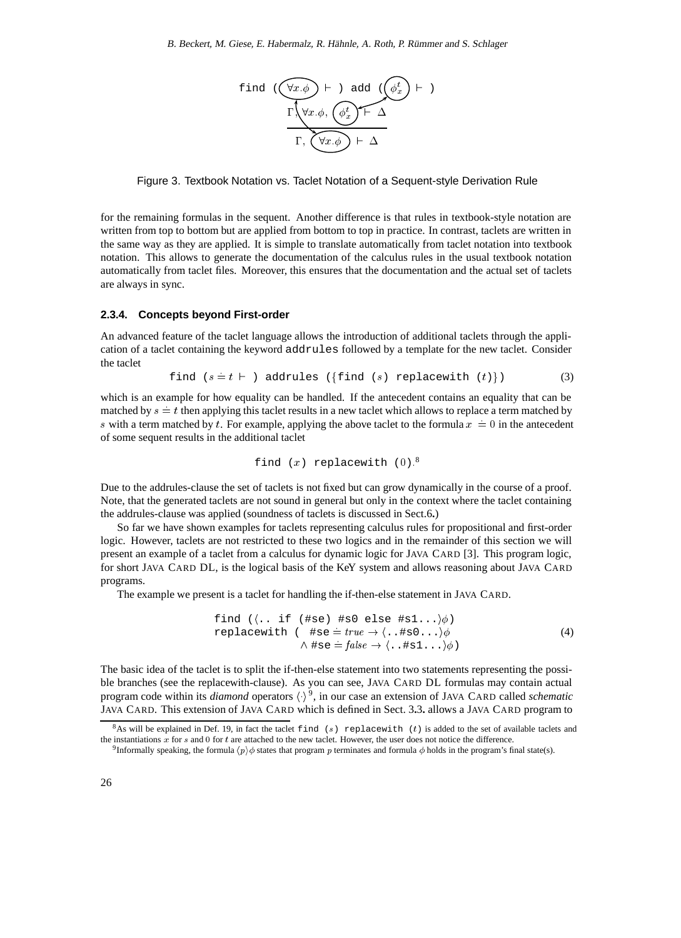

Figure 3. Textbook Notation vs. Taclet Notation of a Sequent-style Derivation Rule

for the remaining formulas in the sequent. Another difference is that rules in textbook-style notation are written from top to bottom but are applied from bottom to top in practice. In contrast, taclets are written in the same way as they are applied. It is simple to translate automatically from taclet notation into textbook notation. This allows to generate the documentation of the calculus rules in the usual textbook notation automatically from taclet files. Moreover, this ensures that the documentation and the actual set of taclets are always in sync.

#### **2.3.4. Concepts beyond First-order**

An advanced feature of the taclet language allows the introduction of additional taclets through the application of a taclet containing the keyword addrules followed by a template for the new taclet. Consider the taclet

find 
$$
(s = t \vdash)
$$
 addrules ( $\{\text{find}(s) replacewith (t)\}\$ ) (3)

which is an example for how equality can be handled. If the antecedent contains an equality that can be matched by  $s = t$  then applying this taclet results in a new taclet which allows to replace a term matched by s with a term matched by t. For example, applying the above taclet to the formula  $x = 0$  in the antecedent of some sequent results in the additional taclet

find 
$$
(x)
$$
 replacewith  $(0)$ <sup>8</sup>

Due to the addrules-clause the set of taclets is not fixed but can grow dynamically in the course of a proof. Note, that the generated taclets are not sound in general but only in the context where the taclet containing the addrules-clause was applied (soundness of taclets is discussed in Sect.6**.**)

So far we have shown examples for taclets representing calculus rules for propositional and first-order logic. However, taclets are not restricted to these two logics and in the remainder of this section we will present an example of a taclet from a calculus for dynamic logic for JAVA CARD [3]. This program logic, for short JAVA CARD DL, is the logical basis of the KeY system and allows reasoning about JAVA CARD programs.

The example we present is a taclet for handling the if-then-else statement in JAVA CARD.

find ((... if (#se) #s0 else #s1...)
$$
\phi
$$
)  
replacewith ( #se = true  $\rightarrow$  (...#s0...) $\phi$   
 $\land$  #se = false  $\rightarrow$  (...#s1...) $\phi$ ) (4)

The basic idea of the taclet is to split the if-then-else statement into two statements representing the possible branches (see the replacewith-clause). As you can see, JAVA CARD DL formulas may contain actual program code within its *diamond* operators  $\langle \cdot \rangle^9$ , in our case an extension of JAVA CARD called *schematic* JAVA CARD. This extension of JAVA CARD which is defined in Sect. 3**.**3**.** allows a JAVA CARD program to

<sup>&</sup>lt;sup>8</sup>As will be explained in Def. 19, in fact the taclet find (s) replacewith (t) is added to the set of available taclets and the instantiations  $x$  for  $s$  and  $0$  for  $t$  are attached to the new taclet. However, the user does not notice the difference.

<sup>&</sup>lt;sup>9</sup>Informally speaking, the formula  $\langle p \rangle \phi$  states that program p terminates and formula  $\phi$  holds in the program's final state(s).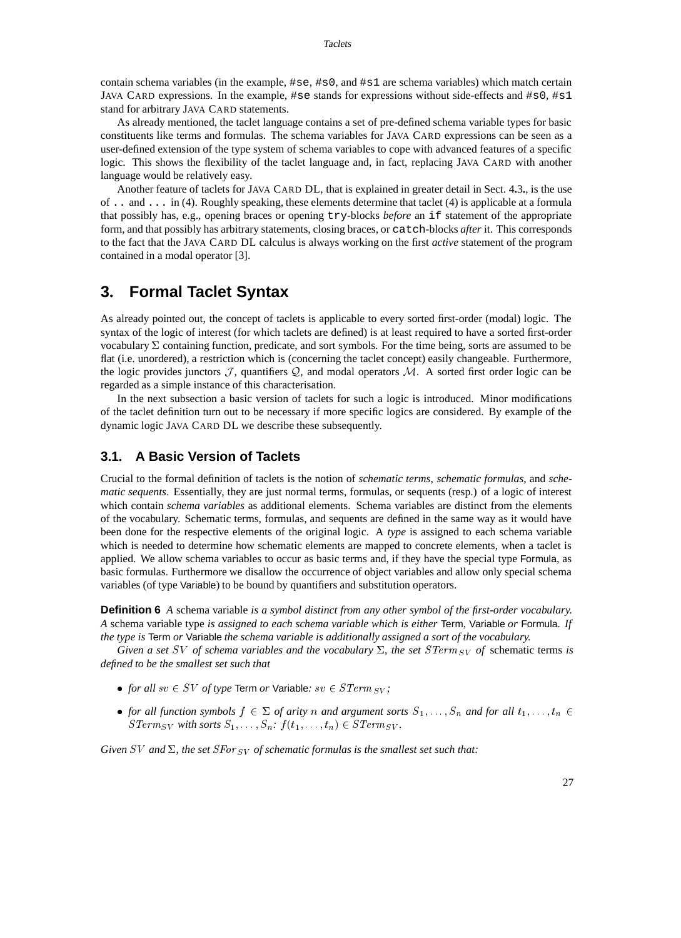contain schema variables (in the example, #se, #s0, and #s1 are schema variables) which match certain JAVA CARD expressions. In the example, #se stands for expressions without side-effects and #s0, #s1 stand for arbitrary JAVA CARD statements.

As already mentioned, the taclet language contains a set of pre-defined schema variable types for basic constituents like terms and formulas. The schema variables for JAVA CARD expressions can be seen as a user-defined extension of the type system of schema variables to cope with advanced features of a specific logic. This shows the flexibility of the taclet language and, in fact, replacing JAVA CARD with another language would be relatively easy.

Another feature of taclets for JAVA CARD DL, that is explained in greater detail in Sect. 4**.**3**.**, is the use of .. and ... in (4). Roughly speaking, these elements determine that taclet (4) is applicable at a formula that possibly has, e.g., opening braces or opening try-blocks *before* an if statement of the appropriate form, and that possibly has arbitrary statements, closing braces, or catch-blocks *after* it. This corresponds to the fact that the JAVA CARD DL calculus is always working on the first *active* statement of the program contained in a modal operator [3].

## **3. Formal Taclet Syntax**

As already pointed out, the concept of taclets is applicable to every sorted first-order (modal) logic. The syntax of the logic of interest (for which taclets are defined) is at least required to have a sorted first-order vocabulary  $\Sigma$  containing function, predicate, and sort symbols. For the time being, sorts are assumed to be flat (i.e. unordered), a restriction which is (concerning the taclet concept) easily changeable. Furthermore, the logic provides junctors  $\mathcal{J}$ , quantifiers  $\mathcal{Q}$ , and modal operators  $\mathcal{M}$ . A sorted first order logic can be regarded as a simple instance of this characterisation.

In the next subsection a basic version of taclets for such a logic is introduced. Minor modifications of the taclet definition turn out to be necessary if more specific logics are considered. By example of the dynamic logic JAVA CARD DL we describe these subsequently.

### **3.1. A Basic Version of Taclets**

Crucial to the formal definition of taclets is the notion of *schematic terms*, *schematic formulas*, and *schematic sequents*. Essentially, they are just normal terms, formulas, or sequents (resp.) of a logic of interest which contain *schema variables* as additional elements. Schema variables are distinct from the elements of the vocabulary. Schematic terms, formulas, and sequents are defined in the same way as it would have been done for the respective elements of the original logic. A *type* is assigned to each schema variable which is needed to determine how schematic elements are mapped to concrete elements, when a taclet is applied. We allow schema variables to occur as basic terms and, if they have the special type Formula, as basic formulas. Furthermore we disallow the occurrence of object variables and allow only special schema variables (of type Variable) to be bound by quantifiers and substitution operators.

**Definition 6** *A* schema variable *is a symbol distinct from any other symbol of the first-order vocabulary. A* schema variable type *is assigned to each schema variable which is either* Term*,* Variable *or* Formula*. If the type is* Term *or* Variable *the schema variable is additionally assigned a sort of the vocabulary.*

*Given a set SV of schema variables and the vocabulary*  $\Sigma$ , the set *STerm sv of schematic terms is defined to be the smallest set such that*

- *for all*  $sv \in SV$  *of type* Term *or* Variable:  $sv \in STerm$  *sv*;
- for all function symbols  $f \in \Sigma$  of arity n and argument sorts  $S_1, \ldots, S_n$  and for all  $t_1, \ldots, t_n \in$  $STerm_{SV}$  with sorts  $S_1, \ldots, S_n$ :  $f(t_1, \ldots, t_n) \in STerm_{SV}$ .

 $Given\;SV$  and  $\Sigma$ , the set  $SFor_{SV}$  of schematic formulas is the smallest set such that: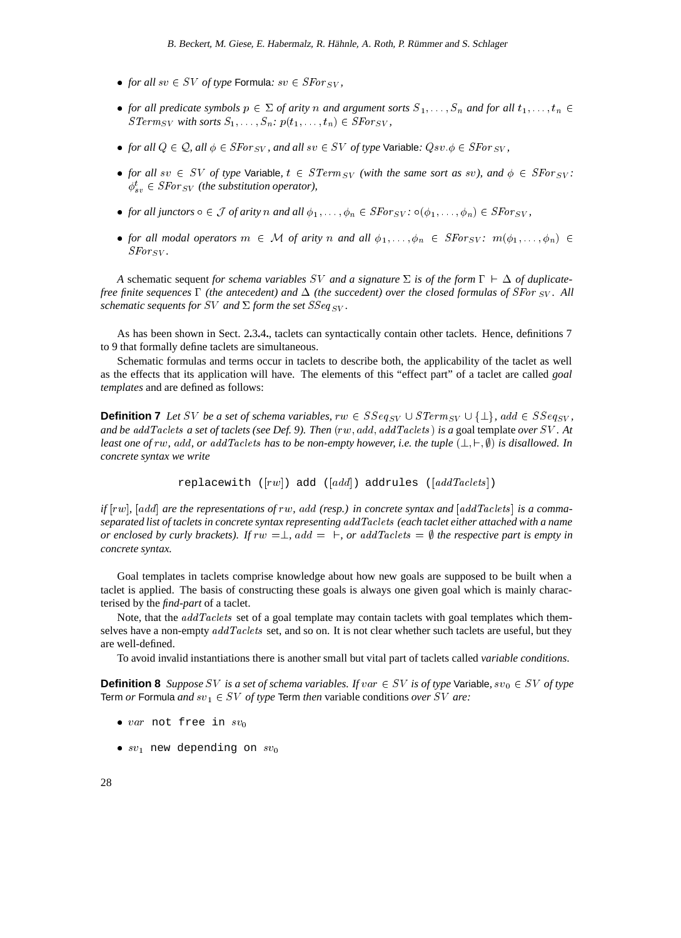- for all  $sv \in SV$  of type Formula:  $sv \in SFor_{SV}$ ,
- for all predicate symbols  $p \in \Sigma$  of arity n and argument sorts  $S_1, \ldots, S_n$  and for all  $t_1, \ldots, t_n \in$  $STerm_{SV}$  with sorts  $S_1, \ldots, S_n: p(t_1, \ldots, t_n) \in SFor_{SV}$ ,
- for all  $Q \in \mathcal{Q}$ , all  $\phi \in SFor_{SV}$ , and all  $sv \in SV$  of type Variable:  $Qsv.\phi \in SFor_{SV}$ ,
- for all  $sv \in SV$  of type Variable,  $t \in STerm_{SV}$  (with the same sort as  $sv$ ), and  $\phi \in SFor_{SV}$ :  $\phi_{sv}^t \in SFor_{SV}$  (the substitution operator),
- for all junctors  $\circ \in \mathcal{J}$  of arity n and all  $\phi_1, \ldots, \phi_n \in SFor_{SV}: \circ(\phi_1, \ldots, \phi_n) \in SFor_{SV}$ ,
- for all modal operators  $m \in M$  of arity n and all  $\phi_1, \ldots, \phi_n \in S\text{For } sy: m(\phi_1, \ldots, \phi_n) \in S\text{For } sy$  $SFor_{SV}.$

*A* schematic sequent *for schema variables SV and a signature*  $\Sigma$  *is of the form*  $\Gamma \vdash \Delta$  *of duplicatefree finite sequences*  $\Gamma$  (the antecedent) and  $\Delta$  (the succedent) over the closed formulas of SFor  $_{SV}$ . All schematic sequents for SV and  $\Sigma$  form the set  $SSeq_{SV}$ .

As has been shown in Sect. 2**.**3**.**4**.**, taclets can syntactically contain other taclets. Hence, definitions 7 to 9 that formally define taclets are simultaneous.

Schematic formulas and terms occur in taclets to describe both, the applicability of the taclet as well as the effects that its application will have. The elements of this "effect part" of a taclet are called *goal templates* and are defined as follows:

**Definition 7** Let SV be a set of schema variables,  $rw \in SSeq_{SV} \cup STerm_{SV} \cup \{\perp\}$ , add  $\in SSeq_{SV}$ , and be  $\alpha$ dd Taclets a set of taclets (see Def. 9). Then  $(rw, \alpha dd, \alpha ddTaclets)$  is a goal template over SV. At *least one of rw, add, or add Taclets has to be non-empty however, i.e. the tuple*  $(\bot, \vdash, \emptyset)$  *is disallowed. In concrete syntax we write*

replacewith  $([rw])$  add  $([add])$  addrules  $([addTacles])$ 

*if*  $\lceil rw\rceil$ ,  $\lceil add\rceil$  are the representations of rw, add (resp.) in concrete syntax and  $\lceil addTaclets\rceil$  is a comma*separated list of taclets in concrete syntax representing (each taclet either attached with a name or enclosed by curly brackets). If*  $rw = \perp$ ,  $add = \vdash$ ,  $or$   $addTaclets = \emptyset$  the respective part is empty in *concrete syntax.*

Goal templates in taclets comprise knowledge about how new goals are supposed to be built when a taclet is applied. The basis of constructing these goals is always one given goal which is mainly characterised by the *find-part* of a taclet.

Note, that the *add Taclets* set of a goal template may contain taclets with goal templates which themselves have a non-empty  $addTaclets$  set, and so on. It is not clear whether such taclets are useful, but they are well-defined.

To avoid invalid instantiations there is another small but vital part of taclets called *variable conditions*.

**Definition 8** *Suppose SV is a set of schema variables. If*  $var \in SV$  *is of type Variable,*  $sv_0 \in SV$  *of type* Term *or* Formula *and*  $sv_1 \in SV$  *of type* Term *then* variable conditions *over SV* are:

- $\bullet$  var not free in  $sv_0$
- $sv_1$  new depending on  $sv_0$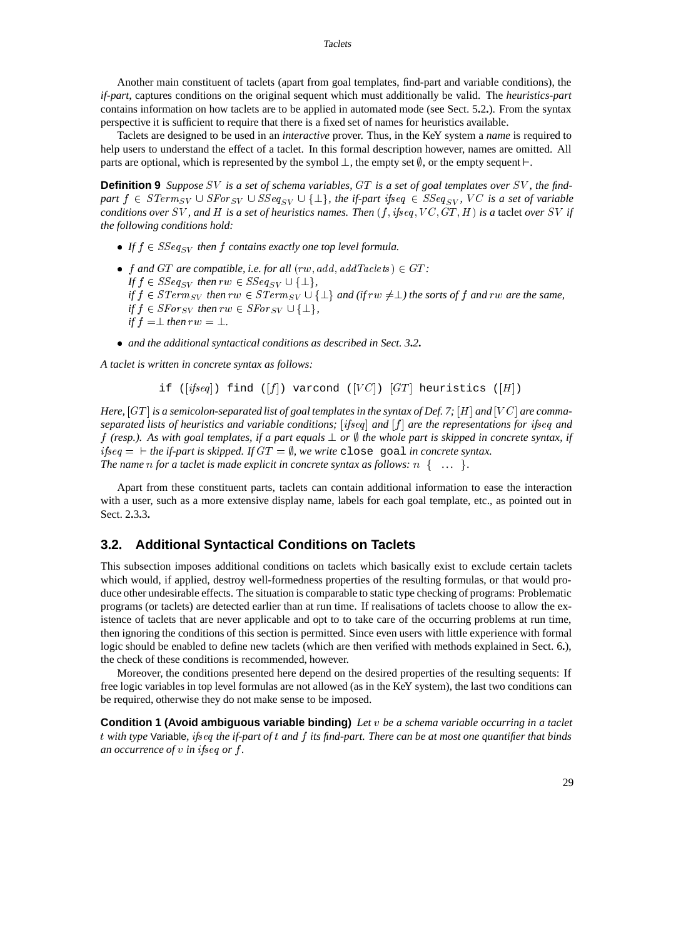Another main constituent of taclets (apart from goal templates, find-part and variable conditions), the *if-part*, captures conditions on the original sequent which must additionally be valid. The *heuristics-part* contains information on how taclets are to be applied in automated mode (see Sect. 5**.**2**.**). From the syntax perspective it is sufficient to require that there is a fixed set of names for heuristics available.

Taclets are designed to be used in an *interactive* prover. Thus, in the KeY system a *name* is required to help users to understand the effect of a taclet. In this formal description however, names are omitted. All parts are optional, which is represented by the symbol  $\perp$ , the empty set  $\emptyset$ , or the empty sequent  $\vdash$ .

**Definition 9** *Suppose SV* is a set of schema variables,  $GT$  is a set of goal templates over  $SV$ , the find $p$ art  $f \in STerm_{SV} \cup SFor_{SV} \cup SSeq_{SV} \cup \{\perp\}$ , the if-part ifseq  $\in SSeq_{SV}$ , VC is a set of variable *conditions over*  $SV$ , and  $H$  is a set of heuristics names. Then  $(f, ifseq, VC, GT, H)$  is a taclet over  $SV$  if *the following conditions hold:*

- If  $f \in SSeq_{SV}$  then  $f$  contains exactly one top level formula.
- $f$  and  $GT$  are compatible, i.e. for all  $(rw, add, addTaclets) \in GT$ : If  $f \in SSeq_{SV}$  then  $rw \in SSeq_{SV} \cup \{\perp\},\$ *if*  $f \in STerm_{SV}$  then  $rw \in STerm_{SV} \cup \{\perp\}$  and (if  $rw \neq \perp$ ) the sorts of f and  $rw$  are the same, if  $f \in S\!_{SY}$  then  $rw \in S\!F$  or  $_{SV} \cup \{\perp\}$ , *if*  $f = \perp$  *then*  $rw = \perp$ *.*
- *and the additional syntactical conditions as described in Sect. 3***.***2***.**

*A taclet is written in concrete syntax as follows:*

```
if ([ifseq]) find ([f]) varcond ([VC]) [GT] heuristics ([H])
```
*Here,* [GT] is a semicolon-separated list of goal templates in the syntax of Def. 7; [H] and [VC] are commaseparated lists of heuristics and variable conditions;  $[ifseq]$  and  $[f]$  are the representations for ifseq and *f* (resp.). As with goal templates, if a part equals  $\perp$  or  $\emptyset$  the whole part is skipped in concrete syntax, if *ifseq*  $=$   $\vdash$  *the if-part is skipped. If*  $GT = \emptyset$ *, we write* close goal *in concrete syntax. The name n for a taclet is made explicit in concrete syntax as follows: n* { ... }.

Apart from these constituent parts, taclets can contain additional information to ease the interaction with a user, such as a more extensive display name, labels for each goal template, etc., as pointed out in Sect. 2**.**3**.**3**.**

### **3.2. Additional Syntactical Conditions on Taclets**

This subsection imposes additional conditions on taclets which basically exist to exclude certain taclets which would, if applied, destroy well-formedness properties of the resulting formulas, or that would produce other undesirable effects. The situation is comparable to static type checking of programs: Problematic programs (or taclets) are detected earlier than at run time. If realisations of taclets choose to allow the existence of taclets that are never applicable and opt to to take care of the occurring problems at run time, then ignoring the conditions of this section is permitted. Since even users with little experience with formal logic should be enabled to define new taclets (which are then verified with methods explained in Sect. 6**.**), the check of these conditions is recommended, however.

Moreover, the conditions presented here depend on the desired properties of the resulting sequents: If free logic variables in top level formulas are not allowed (as in the KeY system), the last two conditions can be required, otherwise they do not make sense to be imposed.

**Condition 1 (Avoid ambiguous variable binding)** *Let be a schema variable occurring in a taclet t* with type Variable, if seq the if-part of t and f its find-part. There can be at most one quantifier that binds *an occurrence of v in ifseq or f.*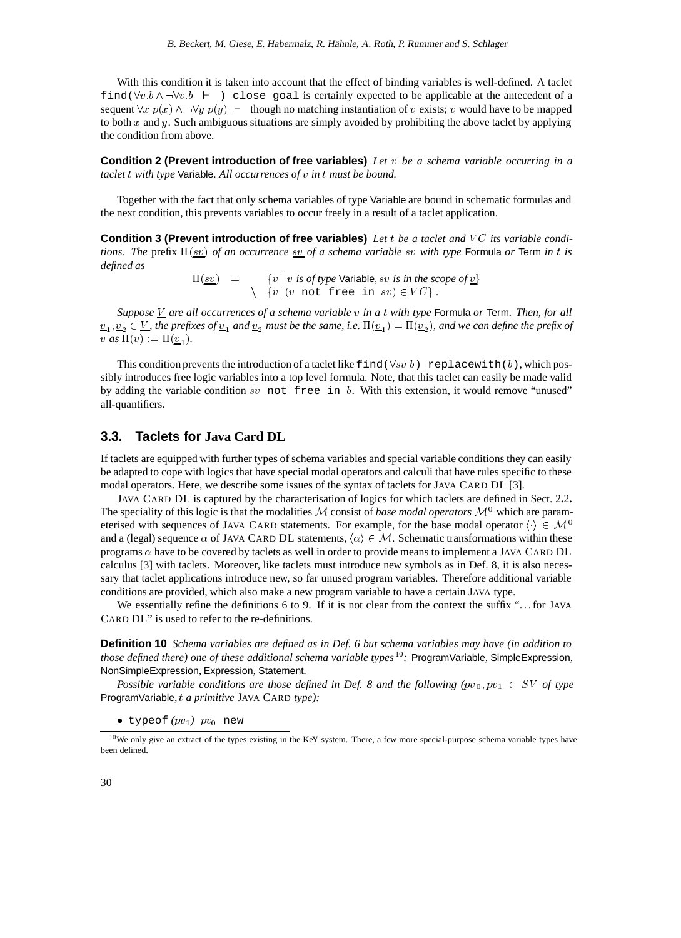With this condition it is taken into account that the effect of binding variables is well-defined. A taclet find( $\forall v.b \land \neg \forall v.b \vdash$ ) close goal is certainly expected to be applicable at the antecedent of a sequent  $\forall x. p(x) \land \neg \forall y. p(y)$  | though no matching instantiation of v exists; v would have to be mapped to both  $x$  and  $y$ . Such ambiguous situations are simply avoided by prohibiting the above taclet by applying the condition from above.

**Condition 2 (Prevent introduction of free variables)** *Let be a schema variable occurring in a taclet with type* Variable*. All occurrences of in must be bound.*

Together with the fact that only schema variables of type Variable are bound in schematic formulas and the next condition, this prevents variables to occur freely in a result of a taclet application.

**Condition 3 (Prevent introduction of free variables)** *Let be a taclet and its variable conditions. The prefix*  $\Pi(\underline{sv})$  *of an occurrence*  $\underline{sv}$  *of a schema variable sv with type* Formula *or* Term *in t is defined as*

> $\Pi(\underline{sv})$  =  $\{v \mid v \text{ is of type } \forall v \text{ is a } s \text{ is in the scope of } v\}$  $\setminus \{v | (v \text{ not free in } sv) \in VC\}.$

*Suppose V* are all occurrences of a schema variable v in a t with type Formula or Term. Then, for all  $u_1, u_2 \in V$ , the prefixes of  $u_1$  and  $u_2$  must be the same, i.e.  $\Pi(u_1) = \Pi(u_2)$ , and we can define the prefix of  $v$  as  $\Pi(v) := \Pi(\underline{v}_1).$ 

This condition prevents the introduction of a taclet like find ( $\forall sv.b$ ) replacewith(b), which possibly introduces free logic variables into a top level formula. Note, that this taclet can easily be made valid by adding the variable condition  $sv$  not free in  $b$ . With this extension, it would remove "unused" all-quantifiers.

### **3.3. Taclets for Java Card DL**

If taclets are equipped with further types of schema variables and special variable conditions they can easily be adapted to cope with logics that have special modal operators and calculi that have rules specific to these modal operators. Here, we describe some issues of the syntax of taclets for JAVA CARD DL [3].

JAVA CARD DL is captured by the characterisation of logics for which taclets are defined in Sect. 2**.**2**.** The speciality of this logic is that the modalities M consist of *base modal operators*  $\mathcal{M}^0$  which are parameterised with sequences of JAVA CARD statements. For example, for the base modal operator  $\langle \cdot \rangle \in \mathcal{M}^0$ and a (legal) sequence  $\alpha$  of JAVA CARD DL statements,  $\langle \alpha \rangle \in \mathcal{M}$ . Schematic transformations within these programs  $\alpha$  have to be covered by taclets as well in order to provide means to implement a JAVA CARD DL calculus [3] with taclets. Moreover, like taclets must introduce new symbols as in Def. 8, it is also necessary that taclet applications introduce new, so far unused program variables. Therefore additional variable conditions are provided, which also make a new program variable to have a certain JAVA type.

We essentially refine the definitions 6 to 9. If it is not clear from the context the suffix "... for JAVA CARD DL" is used to refer to the re-definitions.

**Definition 10** *Schema variables are defined as in Def. 6 but schema variables may have (in addition to those defined there) one of these additional schema variable types* <sup>10</sup>*:* ProgramVariable*,* SimpleExpression*,* NonSimpleExpression*,* Expression*,* Statement*.*

Possible variable conditions are those defined in Def. 8 and the following  $(pv_0, pv_1 \in SV$  of type ProgramVariable*, a primitive* JAVA CARD *type):*

• typeof  $(pv_1)$   $pv_0$  new

<sup>&</sup>lt;sup>10</sup>We only give an extract of the types existing in the KeY system. There, a few more special-purpose schema variable types have been defined.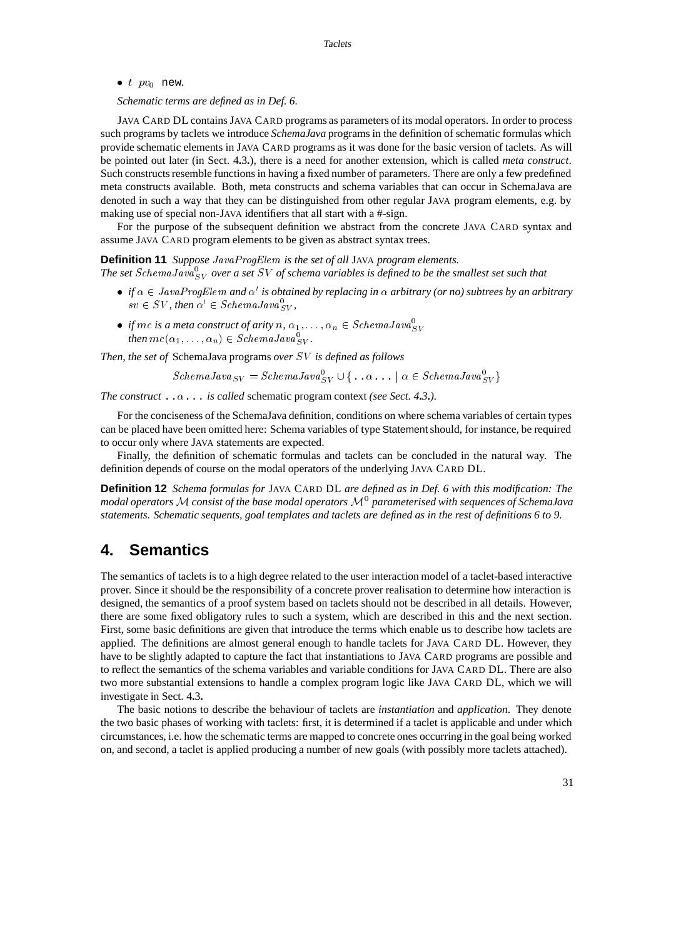$\bullet$  *t*  $pv_0$  new.

*Schematic terms are defined as in Def. 6.*

JAVA CARD DL contains JAVA CARD programs as parameters of its modal operators. In order to process such programs by taclets we introduce *SchemaJava* programs in the definition of schematic formulas which provide schematic elements in JAVA CARD programs as it was done for the basic version of taclets. As will be pointed out later (in Sect. 4**.**3**.**), there is a need for another extension, which is called *meta construct*. Such constructs resemble functions in having a fixed number of parameters. There are only a few predefined meta constructs available. Both, meta constructs and schema variables that can occur in SchemaJava are denoted in such a way that they can be distinguished from other regular JAVA program elements, e.g. by making use of special non-JAVA identifiers that all start with a #-sign.

For the purpose of the subsequent definition we abstract from the concrete JAVA CARD syntax and assume JAVA CARD program elements to be given as abstract syntax trees.

Definition 11 Suppose JavaProgElem is the set of all JAVA program elements. The set  $\it Schema\, Java_S^0{}_V$  over a set  $SV$  of schema variables is defined to be the smallest set such that

- if  $\alpha \in JavaProgElement$  and  $\alpha'$  is obtained by replacing in  $\alpha$  arbitrary (or no) subtrees by an arbitrary  $sv \in SV$ , then  $\alpha' \in Schema Jawa_{SV}^0$ ,
- *if*  $mc$  is a meta construct of arity  $n, \alpha_1, \ldots, \alpha_n \in Schema Java^0_{SV}$ *then*  $mc(\alpha_1, \ldots, \alpha_n) \in Schema Jawa_{SV}^0$ .

*Then, the set of* SchemaJava programs *over SV* is defined as follows

$$
Schema Java_{SV} = Schema Java_{SV}^{\circ} \cup \{ \dots \alpha \dots \mid \alpha \in Schema Java_{SV}^{\circ} \}
$$

*The construct*  $\ldots \alpha \ldots$  *is called* schematic program context *(see Sect. 4.3.).* 

For the conciseness of the SchemaJava definition, conditions on where schema variables of certain types can be placed have been omitted here: Schema variables of type Statementshould, for instance, be required to occur only where JAVA statements are expected.

Finally, the definition of schematic formulas and taclets can be concluded in the natural way. The definition depends of course on the modal operators of the underlying JAVA CARD DL.

**Definition 12** *Schema formulas for* JAVA CARD DL *are defined as in Def. 6 with this modification: The* modal operators  ${\cal M}$  consist of the base modal operators  ${\cal M}^0$  parameterised with sequences of SchemaJava *statements. Schematic sequents, goal templates and taclets are defined as in the rest of definitions 6 to 9.*

## **4. Semantics**

The semantics of taclets is to a high degree related to the user interaction model of a taclet-based interactive prover. Since it should be the responsibility of a concrete prover realisation to determine how interaction is designed, the semantics of a proof system based on taclets should not be described in all details. However, there are some fixed obligatory rules to such a system, which are described in this and the next section. First, some basic definitions are given that introduce the terms which enable us to describe how taclets are applied. The definitions are almost general enough to handle taclets for JAVA CARD DL. However, they have to be slightly adapted to capture the fact that instantiations to JAVA CARD programs are possible and to reflect the semantics of the schema variables and variable conditions for JAVA CARD DL. There are also two more substantial extensions to handle a complex program logic like JAVA CARD DL, which we will investigate in Sect. 4**.**3**.**

The basic notions to describe the behaviour of taclets are *instantiation* and *application*. They denote the two basic phases of working with taclets: first, it is determined if a taclet is applicable and under which circumstances, i.e. how the schematic terms are mapped to concrete ones occurring in the goal being worked on, and second, a taclet is applied producing a number of new goals (with possibly more taclets attached).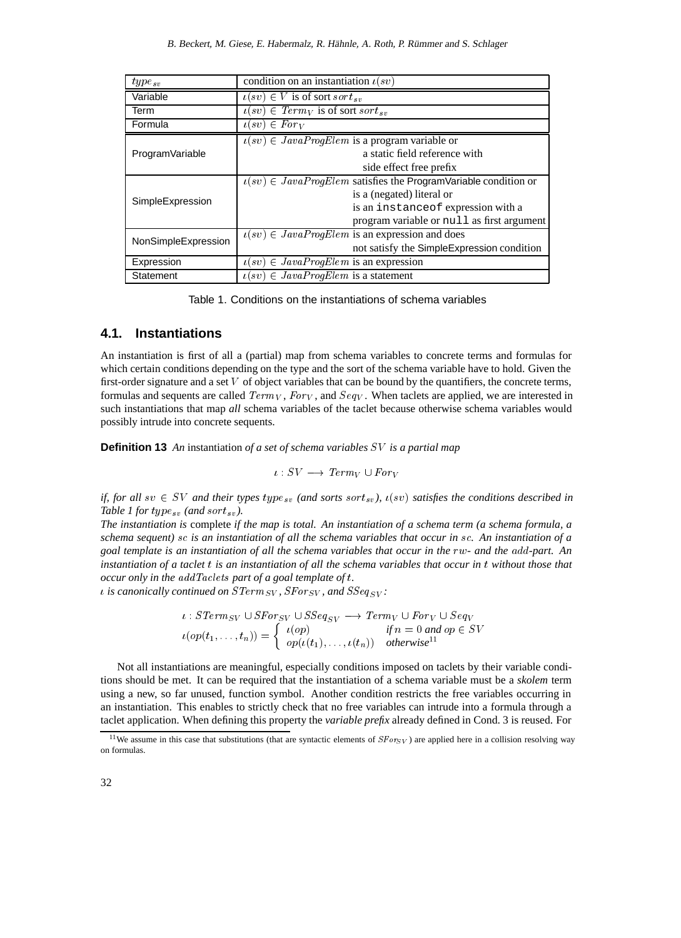| $type_{sv}$         | condition on an instantiation $\iota(sv)$                             |  |  |
|---------------------|-----------------------------------------------------------------------|--|--|
| Variable            | $\iota(sv) \in V$ is of sort sort <sub>sv</sub>                       |  |  |
| Term                | $u(sv) \in Term_V$ is of sort sort <sub>sy</sub>                      |  |  |
| Formula             | $\iota(sv)\in For_V$                                                  |  |  |
| ProgramVariable     | $u(sv) \in JavaProg\,Elem$ is a program variable or                   |  |  |
|                     | a static field reference with                                         |  |  |
|                     | side effect free prefix                                               |  |  |
|                     | $u(sv) \in JavaProg\,Elem$ satisfies the ProgramVariable condition or |  |  |
|                     | is a (negated) literal or                                             |  |  |
| SimpleExpression    | is an instance of expression with a                                   |  |  |
|                     | program variable or null as first argument                            |  |  |
| NonSimpleExpression | $u(sv) \in JavaProgElem$ is an expression and does                    |  |  |
|                     | not satisfy the Simple Expression condition                           |  |  |
| Expression          | $\iota(sv) \in JavaProgElement$ is an expression                      |  |  |
| Statement           | $u(sv) \in JavaProgElem$ is a statement                               |  |  |

Table 1. Conditions on the instantiations of schema variables

### **4.1. Instantiations**

An instantiation is first of all a (partial) map from schema variables to concrete terms and formulas for which certain conditions depending on the type and the sort of the schema variable have to hold. Given the first-order signature and a set  $V$  of object variables that can be bound by the quantifiers, the concrete terms, formulas and sequents are called  $Term_V$ ,  $For_V$ , and  $Seq_V$ . When taclets are applied, we are interested in such instantiations that map *all* schema variables of the taclet because otherwise schema variables would possibly intrude into concrete sequents.

**Definition 13** An instantiation of a set of schema variables SV is a partial map

$$
\iota: SV \longrightarrow Term_V \cup For_V
$$

*if, for all*  $sv \in SV$  and their types type<sub>sv</sub> (and sorts sort<sub>sv</sub>),  $\iota(sv)$  satisfies the conditions described in Table 1 for  $type_{sv}$  (and  $sort_{sv}$ ).

*The instantiation is* complete *if the map is total. An instantiation of a schema term (a schema formula, a schema sequent) is an instantiation of all the schema variables that occur in . An instantiation of a goal template is an instantiation of all the schema variables that occur in the rw- and the add-part. An* instantiation of a taclet t is an instantiation of all the schema variables that occur in t without those that *occur only in the add Taclets part of a goal template of t.* 

 $\iota$  is canonically continued on  $STerm_{SV},$   $SFor_{SV},$  and  $SSeq_{SV}$ :

$$
\iota: STerm_{SV} \cup SFor_{SV} \cup SSeq_{SV} \longrightarrow Term_V \cup For_V \cup Seq_V
$$
  

$$
\iota(op(t_1, ..., t_n)) = \begin{cases} \iota(op) & \text{if } n = 0 \text{ and } op \in SV \\ op(\iota(t_1), ..., \iota(t_n)) & \text{otherwise}^{11} \end{cases}
$$

Not all instantiations are meaningful, especially conditions imposed on taclets by their variable conditions should be met. It can be required that the instantiation of a schema variable must be a *skolem* term using a new, so far unused, function symbol. Another condition restricts the free variables occurring in an instantiation. This enables to strictly check that no free variables can intrude into a formula through a taclet application. When defining this property the *variable prefix* already defined in Cond. 3 is reused. For

<sup>&</sup>lt;sup>11</sup>We assume in this case that substitutions (that are syntactic elements of  $SFor_{SV}$ ) are applied here in a collision resolving way on formulas.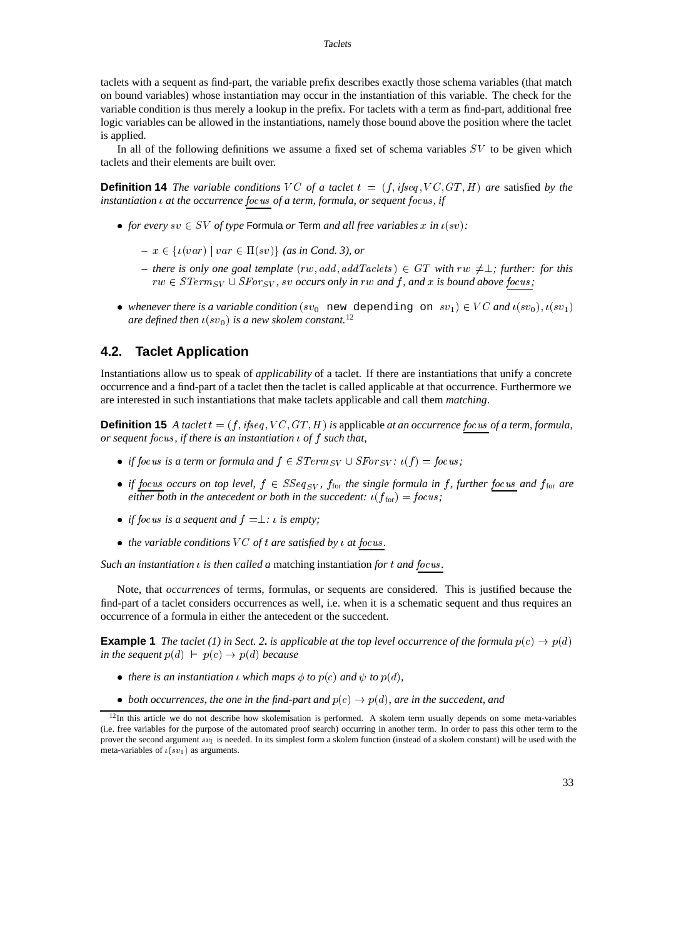taclets with a sequent as find-part, the variable prefix describes exactly those schema variables (that match on bound variables) whose instantiation may occur in the instantiation of this variable. The check for the variable condition is thus merely a lookup in the prefix. For taclets with a term as find-part, additional free logic variables can be allowed in the instantiations, namely those bound above the position where the taclet is applied.

In all of the following definitions we assume a fixed set of schema variables  $SV$  to be given which taclets and their elements are built over.

**Definition 14** The variable conditions VC of a taclet  $t = (f, ifseq, VC, GT, H)$  are satisfied by the instantiation  $\iota$  at the occurrence focus of a term, formula, or sequent focus, if

- for every  $sv \in SV$  of type Formula or Term and all free variables x in  $\iota(sv)$ :
	- $x \in \{ \iota(var) \mid var \in \Pi(sv) \}$  (as in Cond. 3), or
	- $\mathbf{r}$  **–** *there is only one goal template* (*rw*, add, add Taclets)  $\in$  GT with  $rw \neq \perp$ ; further: for this  $rw \in STerm_{SV} \cup SFor_{SV}$ , sv occurs only in  $rw$  and  $f$ , and  $x$  is bound above focus;
- whenever there is a variable condition (sv<sub>0</sub> new depending on  $sv_1 \in VC$  and  $\iota(sv_0)$ ,  $\iota(sv_1)$ are defined then  $\iota(sv_0)$  is a new skolem constant.<sup>12</sup>

#### **4.2. Taclet Application**

Instantiations allow us to speak of *applicability* of a taclet. If there are instantiations that unify a concrete occurrence and a find-part of a taclet then the taclet is called applicable at that occurrence. Furthermore we are interested in such instantiations that make taclets applicable and call them *matching*.

**Definition 15** A taclet  $t = (f, ifseq, VC, GT, H)$  is applicable at an occurrence focus of a term, formula, or sequent focus, if there is an instantiation  $\iota$  of f such that,

- *if focus is a term or formula and*  $f \in STerm_{SV} \cup SFor_{SV}: \iota(f) = focus;$
- *if focus occurs on top level,*  $f \in SSeq_{SV}$ ,  $f_{\text{for}}$  the single formula in f, further focus and  $f_{\text{for}}$  are *either both in the antecedent or both in the succedent:*  $\iota(f_{\text{for}}) = \text{focus};$
- *if focus is a sequent and*  $f = \perp : \iota$  *is empty;*
- the variable conditions  $VC$  of t are satisfied by  $\iota$  at focus.

Such an instantiation  $\iota$  is then called a matching instantiation for t and focus.

Note, that *occurrences* of terms, formulas, or sequents are considered. This is justified because the find-part of a taclet considers occurrences as well, i.e. when it is a schematic sequent and thus requires an occurrence of a formula in either the antecedent or the succedent.

**Example 1** *The taclet (1) in Sect.* 2*. <i>is applicable at the top level occurrence of the formula*  $p(c) \rightarrow p(d)$ *in the sequent*  $p(d)$   $\vdash$   $p(c)$   $\rightarrow$   $p(d)$  *because* 

- there is an instantiation  $\iota$  which maps  $\phi$  to  $p(c)$  and  $\psi$  to  $p(d)$ ,
- both occurrences, the one in the find-part and  $p(c) \rightarrow p(d)$ , are in the succedent, and

 $12$ In this article we do not describe how skolemisation is performed. A skolem term usually depends on some meta-variables (i.e. free variables for the purpose of the automated proof search) occurring in another term. In order to pass this other term to the prover the second argument  $sv_1$  is needed. In its simplest form a skolem function (instead of a skolem constant) will be used with the meta-variables of  $\iota(s v_1)$  as arguments.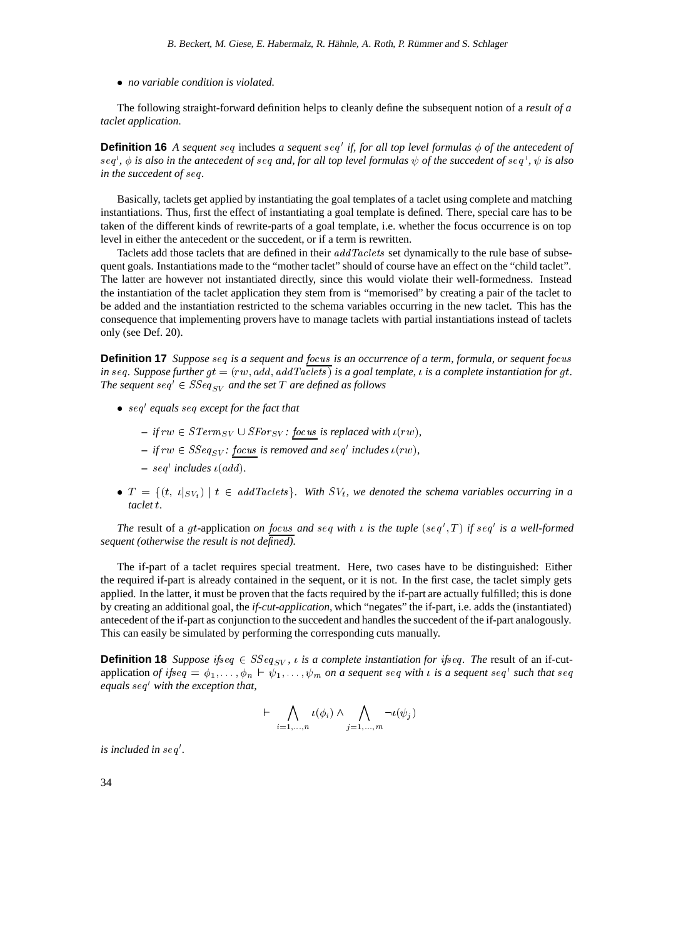*no variable condition is violated.*

The following straight-forward definition helps to cleanly define the subsequent notion of a *result of a taclet application*.

**Definition 16** *A sequent seq includes a sequent seq' if, for all top level formulas*  $\phi$  *of the antecedent of*  $seq', \, \phi$  is also in the antecedent of  $seq$  and, for all top level formulas  $\psi$  of the succedent of  $seq', \, \psi$  is also *in the succedent of seq.* 

Basically, taclets get applied by instantiating the goal templates of a taclet using complete and matching instantiations. Thus, first the effect of instantiating a goal template is defined. There, special care has to be taken of the different kinds of rewrite-parts of a goal template, i.e. whether the focus occurrence is on top level in either the antecedent or the succedent, or if a term is rewritten.

Taclets add those taclets that are defined in their  $addTaclets$  set dynamically to the rule base of subsequent goals. Instantiations made to the "mother taclet" should of course have an effect on the "child taclet". The latter are however not instantiated directly, since this would violate their well-formedness. Instead the instantiation of the taclet application they stem from is "memorised" by creating a pair of the taclet to be added and the instantiation restricted to the schema variables occurring in the new taclet. This has the consequence that implementing provers have to manage taclets with partial instantiations instead of taclets only (see Def. 20).

**Definition 17** *Suppose seq is a sequent and focus is an occurrence of a term, formula, or sequent focus* in seq. Suppose further  $gt = (rw, add, addTaclets)$  is a goal template,  $\iota$  is a complete instantiation for  $gt$ . *The sequent*  $seq' \in SSeq_{SV}$  *and the set T are defined as follows* 

- **•** seq' equals seq except for the fact that
	- $-$  if  $rw \in STerm_{SV} \cup SFor_{SV}:$  focus is replaced with  $\iota(rw)$ ,
	- $-$  *if*  $rw \in SSeq_{SV}$ : focus is removed and seq' includes  $\iota(rw)$ ,
	- $-$  seq' includes  $\iota(add)$ .
- $\bullet$   $T = \{ (t, |t|_{SV_t}) \mid t \in addTaclets \}$ . With  $SV_t$ , we denoted the schema variables occurring in a *taclet .*

*The* result of a gt-application on focus and seq with  $\iota$  is the tuple (seq', T) if seq' is a well-formed *sequent (otherwise the result is not defined).*

The if-part of a taclet requires special treatment. Here, two cases have to be distinguished: Either the required if-part is already contained in the sequent, or it is not. In the first case, the taclet simply gets applied. In the latter, it must be proven that the facts required by the if-part are actually fulfilled; this is done by creating an additional goal, the *if-cut-application*, which "negates" the if-part, i.e. adds the (instantiated) antecedent of the if-part as conjunction to the succedent and handles the succedent of the if-part analogously. This can easily be simulated by performing the corresponding cuts manually.

**Definition 18** *Suppose ifseq*  $\in$  *SSeq<sub>SV</sub>*, *i* is a complete instantiation for ifseq. The result of an if-cutapplication of ifseq  $= \phi_1, \ldots, \phi_n \vdash \psi_1, \ldots, \psi_m$  on a sequent seq with  $\iota$  is a sequent seq' such that seq equals seq' with the exception that,

$$
\vdash \bigwedge_{i=1,...,n} \iota(\phi_i) \land \bigwedge_{j=1,...,m} \neg \iota(\psi_j)
$$

*is included in .*

34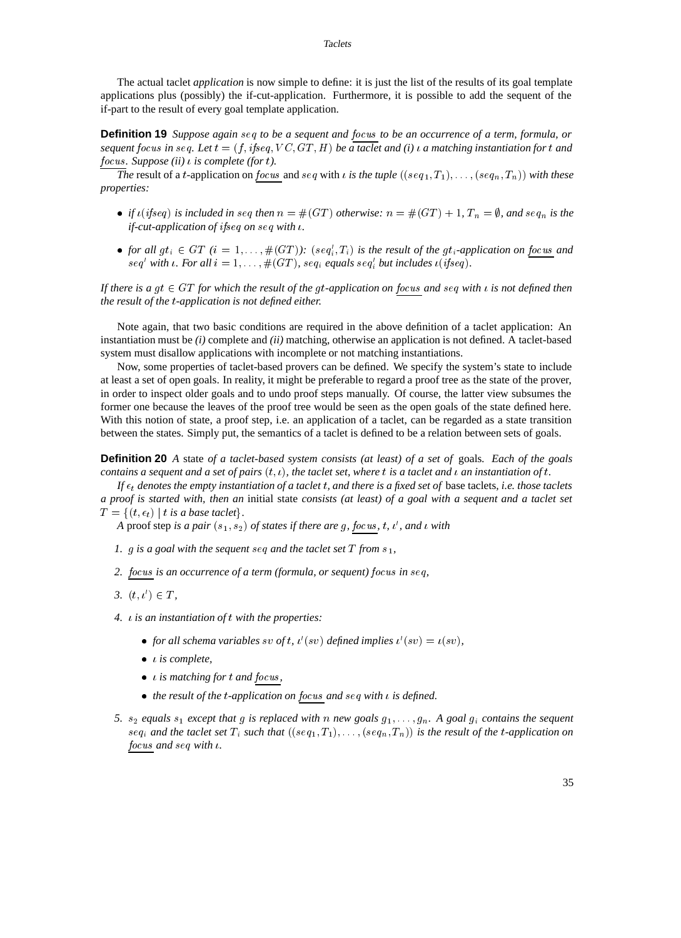The actual taclet *application* is now simple to define: it is just the list of the results of its goal template applications plus (possibly) the if-cut-application. Furthermore, it is possible to add the sequent of the if-part to the result of every goal template application.

**Definition 19** *Suppose again seq to be a sequent and focus to be an occurrence of a term, formula, or*  ${sequent \, focus \, in \, seq.\, Let \, t = (f, \, ifseq, \, VC, GT, \, H) \, be \, a \, tacket \, add \, (i) \, \iota \, a \, matching \, instantiation \, for \, t \, and}$ focus. Suppose (ii) *i* is complete (for t).

The result of a *t*-application on *focus* and seq with *i* is the tuple  $((seq_1, T_1), \ldots, (seq_n, T_n))$  with these *properties:*

- *if*  $\iota$ (*ifseq*) is included in seq then  $n = \#(GT)$  otherwise:  $n = \#(GT) + 1$ ,  $T_n = \emptyset$ , and seq<sub>n</sub> is the *if-cut-application of ifseq on seq with*  $\iota$ *.*
- for all  $gt_i \in GT$  ( $i = 1, ..., \#(GT)$ ):  $(seq'_i, T_i)$  is the result of the  $gt_i$ -application on focus and  $seq'$  with  $\iota$ . For all  $i = 1, \ldots, \#(GT)$ ,  $seq_i$  equals  $seq'_i$  but includes  $\iota(ifseq)$ .

If there is a  $gt \in GT$  for which the result of the gt-application on focus and seq with  $\iota$  is not defined then *the result of the -application is not defined either.*

Note again, that two basic conditions are required in the above definition of a taclet application: An instantiation must be *(i)* complete and *(ii)* matching, otherwise an application is not defined. A taclet-based system must disallow applications with incomplete or not matching instantiations.

Now, some properties of taclet-based provers can be defined. We specify the system's state to include at least a set of open goals. In reality, it might be preferable to regard a proof tree as the state of the prover, in order to inspect older goals and to undo proof steps manually. Of course, the latter view subsumes the former one because the leaves of the proof tree would be seen as the open goals of the state defined here. With this notion of state, a proof step, i.e. an application of a taclet, can be regarded as a state transition between the states. Simply put, the semantics of a taclet is defined to be a relation between sets of goals.

**Definition 20** *A* state *of a taclet-based system consists (at least) of a set of* goals*. Each of the goals* contains a sequent and a set of pairs  $(t, t)$ , the taclet set, where t is a taclet and  $t$  an instantiation of t.

 $If \epsilon_t$  denotes the empty instantiation of a taclet t, and there is a fixed set of base taclets, *i.e.* those taclets *a proof is started with, then an* initial state *consists (at least) of a goal with a sequent and a taclet set*  $T = \{(t, \epsilon_t) \mid t \text{ is a base tackle}\}.$ 

*A* proof step is a pair  $(s_1, s_2)$  of states if there are g, focus, t,  $\iota'$ , and  $\iota$  with

- *1.*  $\boldsymbol{g}$  is a goal with the sequent seq and the taclet set T from s<sub>1</sub>,
- 2. focus is an occurrence of a term (formula, or sequent) focus in seq,
- 3.  $(t, t') \in T$ ,
- *4.* ! *is an instantiation of with the properties:*
	- for all schema variables sv of t,  $\iota'(sv)$  defined implies  $\iota'(sv) = \iota(sv)$ ,
	- *is complete,*
	- $\iota$  is matching for  $t$  and focus,
	- the result of the *t*-application on focus and seq with  $\iota$  is defined.
- 5.  $s_2$  equals  $s_1$  except that g is replaced with n new goals  $g_1, \ldots, g_n$ . A goal  $g_i$  contains the sequent  $seq_i$  and the taclet set  $T_i$  such that  $((seq_1, T_1), \ldots, (seq_n, T_n))$  is the result of the t-application on focus and seq with *ı*.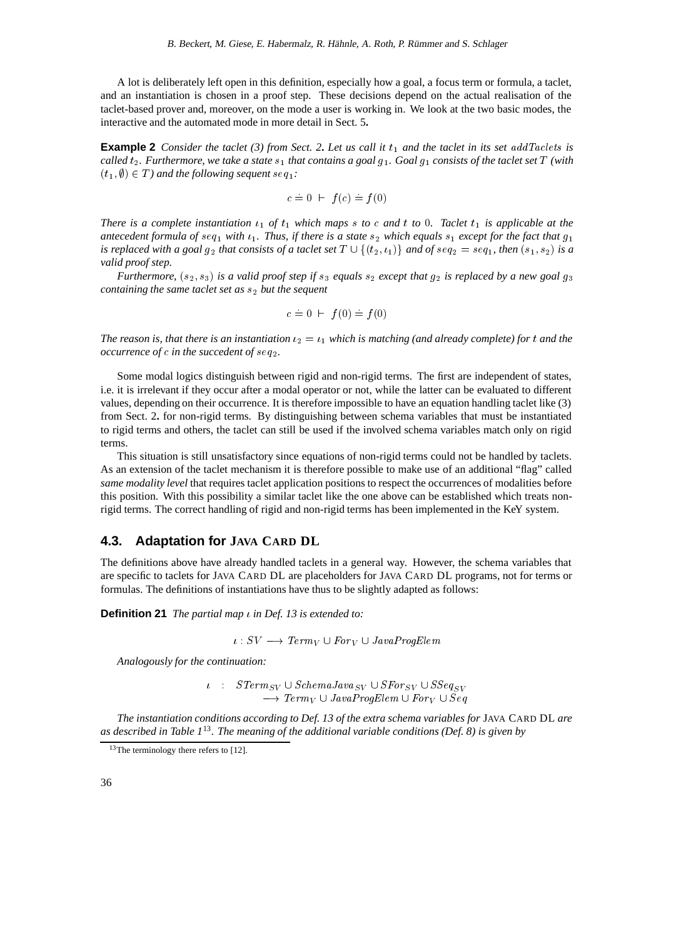A lot is deliberately left open in this definition, especially how a goal, a focus term or formula, a taclet, and an instantiation is chosen in a proof step. These decisions depend on the actual realisation of the taclet-based prover and, moreover, on the mode a user is working in. We look at the two basic modes, the interactive and the automated mode in more detail in Sect. 5**.**

**Example 2** *Consider the taclet (3) from Sect.* 2. Let us call it  $t_1$  and the taclet in its set add Taclets is *called*  $t_2$ . Furthermore, we take a state  $s_1$  that contains a goal  $g_1$ . Goal  $g_1$  consists of the taclet set T (with  $(t_1, \emptyset) \in T$  *and the following sequent seq*<sub>1</sub>*:* 

$$
c = 0 + f(c) = f(0)
$$

*There is a complete instantiation*  $\iota_1$  of  $t_1$  which maps s to c and t to 0. Taclet  $t_1$  is applicable at the *antecedent formula of*  $seq_1$  with  $\iota_1$ . Thus, if there is a state  $s_2$  which equals  $s_1$  except for the fact that  $g_1$ is replaced with a goal  $g_2$  that consists of a taclet set  $T \cup \{(t_2, t_1)\}$  and of  $seq_2 = seq_1$ , then  $(s_1, s_2)$  is a *valid proof step.*

*Furthermore,*  $(s_2, s_3)$  is a valid proof step if  $s_3$  equals  $s_2$  except that  $g_2$  is replaced by a new goal  $g_3$ *containing the same taclet set as but the sequent*

$$
c = 0 + f(0) = f(0)
$$

*The reason is, that there is an instantiation*  $\iota_2 = \iota_1$  which is matching (and already complete) for t and the *occurrence of c in the succedent of seq<sub>2</sub>.* 

Some modal logics distinguish between rigid and non-rigid terms. The first are independent of states, i.e. it is irrelevant if they occur after a modal operator or not, while the latter can be evaluated to different values, depending on their occurrence. It is therefore impossible to have an equation handling taclet like (3) from Sect. 2**.** for non-rigid terms. By distinguishing between schema variables that must be instantiated to rigid terms and others, the taclet can still be used if the involved schema variables match only on rigid terms.

This situation is still unsatisfactory since equations of non-rigid terms could not be handled by taclets. As an extension of the taclet mechanism it is therefore possible to make use of an additional "flag" called *same modality level* that requires taclet application positions to respect the occurrences of modalities before this position. With this possibility a similar taclet like the one above can be established which treats nonrigid terms. The correct handling of rigid and non-rigid terms has been implemented in the KeY system.

### **4.3. Adaptation for JAVA CARD DL**

The definitions above have already handled taclets in a general way. However, the schema variables that are specific to taclets for JAVA CARD DL are placeholders for JAVA CARD DL programs, not for terms or formulas. The definitions of instantiations have thus to be slightly adapted as follows:

**Definition 21** *The partial map* ! *in Def. 13 is extended to:*

! -  

*Analogously for the continuation:*

!  -   

*The instantiation conditions according to Def. 13 of the extra schema variables for* JAVA CARD DL *are as described in Table 1*<sup>13</sup>*. The meaning of the additional variable conditions (Def. 8) is given by*

36

 $13$ The terminology there refers to [12].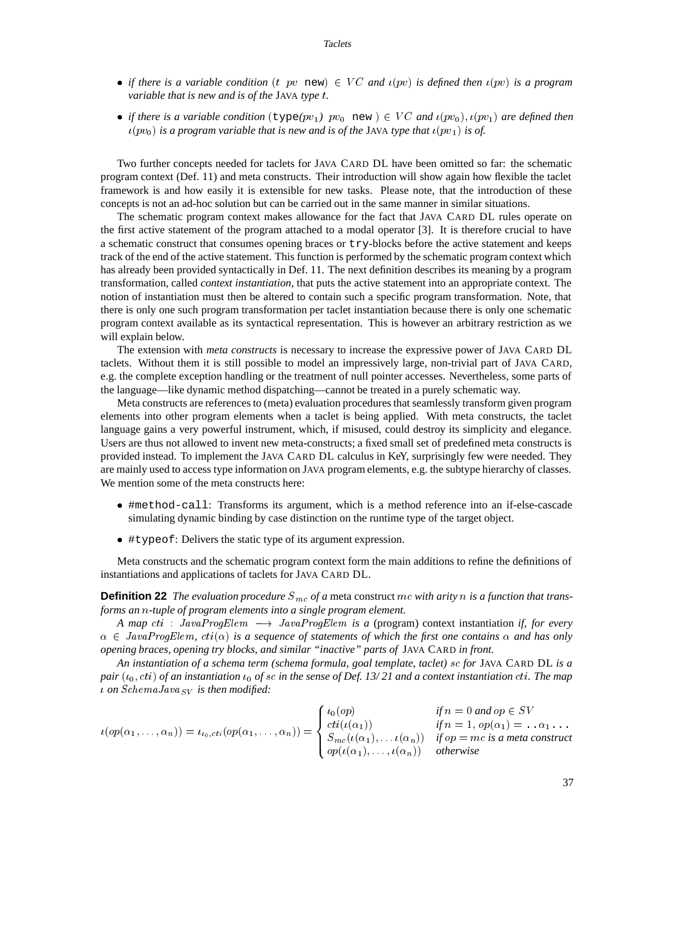- *if there is a variable condition*  $(t, pv \text{ new}) \in VC$  and  $\iota(pv)$  is defined then  $\iota(pv)$  is a program *variable that is new and is of the* JAVA *type .*
- if there is a variable condition  $(\text{type}(pv_1)$   $pv_0$  new  $) \in VC$  and  $\iota(pv_0), \iota(pv_1)$  are defined then  $\iota(pv_0)$  is a program variable that is new and is of the JAVA type that  $\iota(pv_1)$  is of.

Two further concepts needed for taclets for JAVA CARD DL have been omitted so far: the schematic program context (Def. 11) and meta constructs. Their introduction will show again how flexible the taclet framework is and how easily it is extensible for new tasks. Please note, that the introduction of these concepts is not an ad-hoc solution but can be carried out in the same manner in similar situations.

The schematic program context makes allowance for the fact that JAVA CARD DL rules operate on the first active statement of the program attached to a modal operator [3]. It is therefore crucial to have a schematic construct that consumes opening braces or try-blocks before the active statement and keeps track of the end of the active statement. This function is performed by the schematic program context which has already been provided syntactically in Def. 11. The next definition describes its meaning by a program transformation, called *context instantiation*, that puts the active statement into an appropriate context. The notion of instantiation must then be altered to contain such a specific program transformation. Note, that there is only one such program transformation per taclet instantiation because there is only one schematic program context available as its syntactical representation. This is however an arbitrary restriction as we will explain below.

The extension with *meta constructs* is necessary to increase the expressive power of JAVA CARD DL taclets. Without them it is still possible to model an impressively large, non-trivial part of JAVA CARD, e.g. the complete exception handling or the treatment of null pointer accesses. Nevertheless, some parts of the language—like dynamic method dispatching—cannot be treated in a purely schematic way.

Meta constructs are references to (meta) evaluation procedures that seamlessly transform given program elements into other program elements when a taclet is being applied. With meta constructs, the taclet language gains a very powerful instrument, which, if misused, could destroy its simplicity and elegance. Users are thus not allowed to invent new meta-constructs; a fixed small set of predefined meta constructs is provided instead. To implement the JAVA CARD DL calculus in KeY, surprisingly few were needed. They are mainly used to access type information on JAVA program elements, e.g. the subtype hierarchy of classes. We mention some of the meta constructs here:

- #method-call: Transforms its argument, which is a method reference into an if-else-cascade simulating dynamic binding by case distinction on the runtime type of the target object.
- #typeof: Delivers the static type of its argument expression.

Meta constructs and the schematic program context form the main additions to refine the definitions of instantiations and applications of taclets for JAVA CARD DL.

**Definition 22** *The evaluation procedure*  $S_{mc}$  *of a* meta construct *mc with arity n is a function that transforms an -tuple of program elements into a single program element.*

*A map cti : JavaProgElem*  $\longrightarrow$  *JavaProgElem is a (program)* context instantiation *if, for every*  $\alpha \in \textit{JavaProg}$  *lem,*  $\textit{cti}(\alpha)$  is a sequence of statements of which the first one contains  $\alpha$  and has only *opening braces, opening try blocks, and similar "inactive" parts of* JAVA CARD *in front.*

*An instantiation of a schema term (schema formula, goal template, taclet) for* JAVA CARD DL *is a* pair  $(\iota_0, cti)$  of an instantiation  $\iota_0$  of  $sc$  in the sense of Def. 13/21 and a context instantiation  $cti$ . The map  $\iota$  on Schema Java<sub>SV</sub> is then modified:

$$
\iota(op(\alpha_1, \ldots, \alpha_n)) = \iota_{\iota_0, \text{cti}}(op(\alpha_1, \ldots, \alpha_n)) = \begin{cases} \iota_0(op) & \text{if } n = 0 \text{ and } op \in SV \\ \text{cti}(\iota(\alpha_1)) & \text{if } n = 1, op(\alpha_1) = \ldots \alpha_1 \ldots \\ S_{mc}(\iota(\alpha_1), \ldots, \iota(\alpha_n)) & \text{if } op = mc \text{ is a meta construct} \\ op(\iota(\alpha_1), \ldots, \iota(\alpha_n)) & \text{otherwise} \end{cases}
$$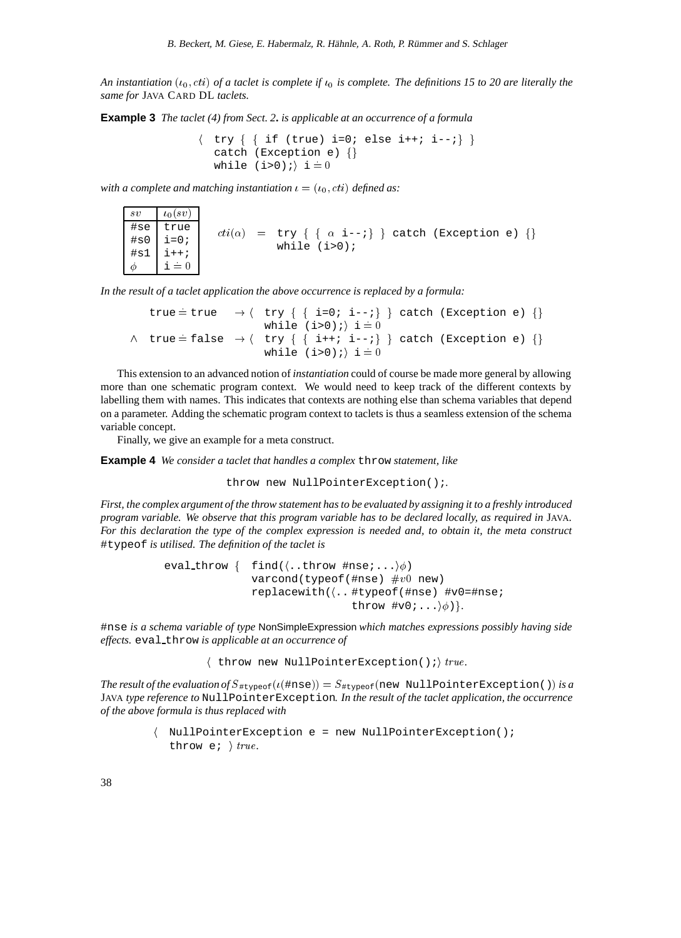An instantiation  $(\iota_0, cti)$  of a taclet is complete if  $\iota_0$  is complete. The definitions 15 to 20 are literally the *same for* JAVA CARD DL *taclets.*

**Example 3** *The taclet (4) from Sect. 2***.** *is applicable at an occurrence of a formula*

 $\langle$  try  $\{$  { if (true) i=0; else i++; i--;} } catch (Exception e) while  $(i>0);$   $i=0$ 

with a complete and matching instantiation  $\iota = (\iota_0, cti)$  defined as:

| sv | $t_0(sv)$              |  |                                                                                                  |
|----|------------------------|--|--------------------------------------------------------------------------------------------------|
|    | #se true               |  | $cti(\alpha) = \text{try} \{ \{ \alpha i--i \} \}$ catch (Exception e) $\{\}$<br>while $(i>0)$ ; |
|    | $ $ #s0   i=0;         |  |                                                                                                  |
|    | $\sharp s1 \quad i++;$ |  |                                                                                                  |
|    | $\mathbf{i} = 0$       |  |                                                                                                  |

*In the result of a taclet application the above occurrence is replaced by a formula:*

```
true \Rightarrow \left\{ \begin{array}{c} \{ \begin{array}{c} i=0 \colon i- i \end{array} \} \end{array} \right\} catch (Exception e) \{\}while (i>0);\rangle i =0\land true = false \rightarrow \langle try { { i++; i--;} } catch (Exception e) {}
                            while (i>0); i=0
```
This extension to an advanced notion of *instantiation* could of course be made more general by allowing more than one schematic program context. We would need to keep track of the different contexts by labelling them with names. This indicates that contexts are nothing else than schema variables that depend on a parameter. Adding the schematic program context to taclets is thus a seamless extension of the schema variable concept.

Finally, we give an example for a meta construct.

**Example 4** *We consider a taclet that handles a complex* throw *statement, like*

throw new NullPointerException();*.*

*First, the complex argument of the throw statement has to be evaluated by assigning it to a freshly introduced program variable. We observe that this program variable has to be declared locally, as required in* JAVA*. For this declaration the type of the complex expression is needed and, to obtain it, the meta construct* #typeof *is utilised. The definition of the taclet is*

> eval\_throw  $\{$  find( $\langle$ ..throw #nse;... $\rangle\phi$ ) varcond(typeof(#nse)  $\#v0$  new) replacewith(.. #typeof(#nse) #v0=#nse; throw  $\{\text{tv0}: \ldots \rangle \phi\}$ .

#nse *is a schema variable of type* NonSimpleExpression *which matches expressions possibly having side effects.* eval throw *is applicable at an occurrence of*

 $\langle$  throw new NullPointerException();  $\rangle$  *true*.

*The result of the evaluation of*  $S_{\text{\#typeof}}(t(\text{\#nse})) = S_{\text{\#typeof}}(\text{new NullPointerException}()$  *is a* JAVA *type reference to* NullPointerException*. In the result of the taclet application, the occurrence of the above formula is thus replaced with*

> NullPointerException e = new NullPointerException(); throw e;  $\rangle$  *true.*

38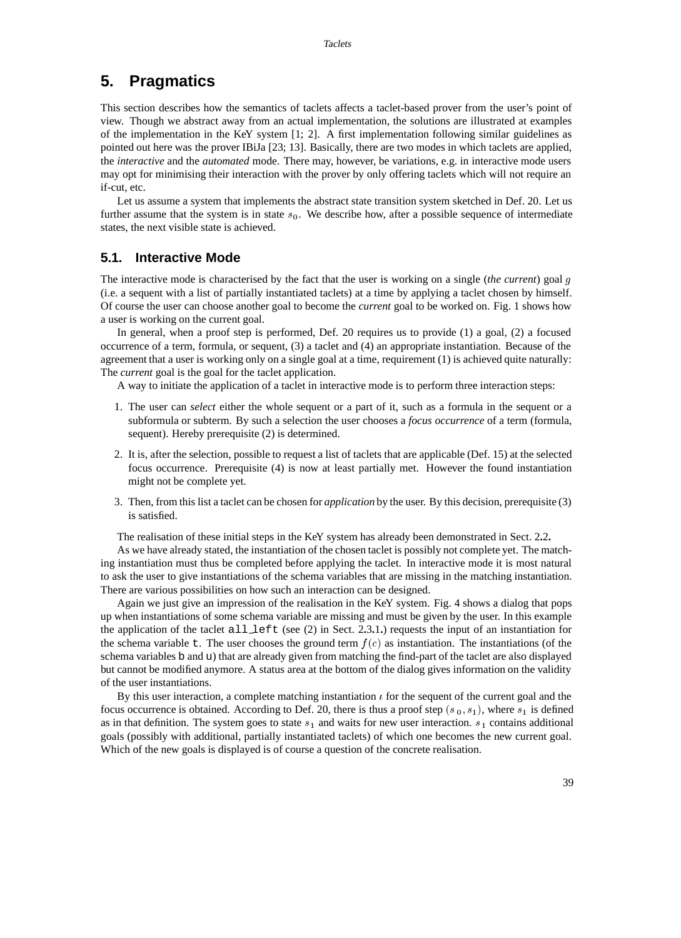## **5. Pragmatics**

This section describes how the semantics of taclets affects a taclet-based prover from the user's point of view. Though we abstract away from an actual implementation, the solutions are illustrated at examples of the implementation in the KeY system [1; 2]. A first implementation following similar guidelines as pointed out here was the prover IBiJa [23; 13]. Basically, there are two modes in which taclets are applied, the *interactive* and the *automated* mode. There may, however, be variations, e.g. in interactive mode users may opt for minimising their interaction with the prover by only offering taclets which will not require an if-cut, etc.

Let us assume a system that implements the abstract state transition system sketched in Def. 20. Let us further assume that the system is in state  $s<sub>0</sub>$ . We describe how, after a possible sequence of intermediate states, the next visible state is achieved.

### **5.1. Interactive Mode**

The interactive mode is characterised by the fact that the user is working on a single (*the current*) goal g (i.e. a sequent with a list of partially instantiated taclets) at a time by applying a taclet chosen by himself. Of course the user can choose another goal to become the *current* goal to be worked on. Fig. 1 shows how a user is working on the current goal.

In general, when a proof step is performed, Def. 20 requires us to provide (1) a goal, (2) a focused occurrence of a term, formula, or sequent, (3) a taclet and (4) an appropriate instantiation. Because of the agreement that a user is working only on a single goal at a time, requirement (1) is achieved quite naturally: The *current* goal is the goal for the taclet application.

A way to initiate the application of a taclet in interactive mode is to perform three interaction steps:

- 1. The user can *select* either the whole sequent or a part of it, such as a formula in the sequent or a subformula or subterm. By such a selection the user chooses a *focus occurrence* of a term (formula, sequent). Hereby prerequisite (2) is determined.
- 2. It is, after the selection, possible to request a list of taclets that are applicable (Def. 15) at the selected focus occurrence. Prerequisite (4) is now at least partially met. However the found instantiation might not be complete yet.
- 3. Then, from this list a taclet can be chosen for *application* by the user. By this decision, prerequisite (3) is satisfied.

The realisation of these initial steps in the KeY system has already been demonstrated in Sect. 2**.**2**.**

As we have already stated, the instantiation of the chosen taclet is possibly not complete yet. The matching instantiation must thus be completed before applying the taclet. In interactive mode it is most natural to ask the user to give instantiations of the schema variables that are missing in the matching instantiation. There are various possibilities on how such an interaction can be designed.

Again we just give an impression of the realisation in the KeY system. Fig. 4 shows a dialog that pops up when instantiations of some schema variable are missing and must be given by the user. In this example the application of the taclet all left (see (2) in Sect. 2**.**3**.**1**.**) requests the input of an instantiation for the schema variable t. The user chooses the ground term  $f(c)$  as instantiation. The instantiations (of the schema variables b and u) that are already given from matching the find-part of the taclet are also displayed but cannot be modified anymore. A status area at the bottom of the dialog gives information on the validity of the user instantiations.

By this user interaction, a complete matching instantiation  $\iota$  for the sequent of the current goal and the focus occurrence is obtained. According to Def. 20, there is thus a proof step  $(s_0, s_1)$ , where  $s_1$  is defined as in that definition. The system goes to state  $s_1$  and waits for new user interaction.  $s_1$  contains additional goals (possibly with additional, partially instantiated taclets) of which one becomes the new current goal. Which of the new goals is displayed is of course a question of the concrete realisation.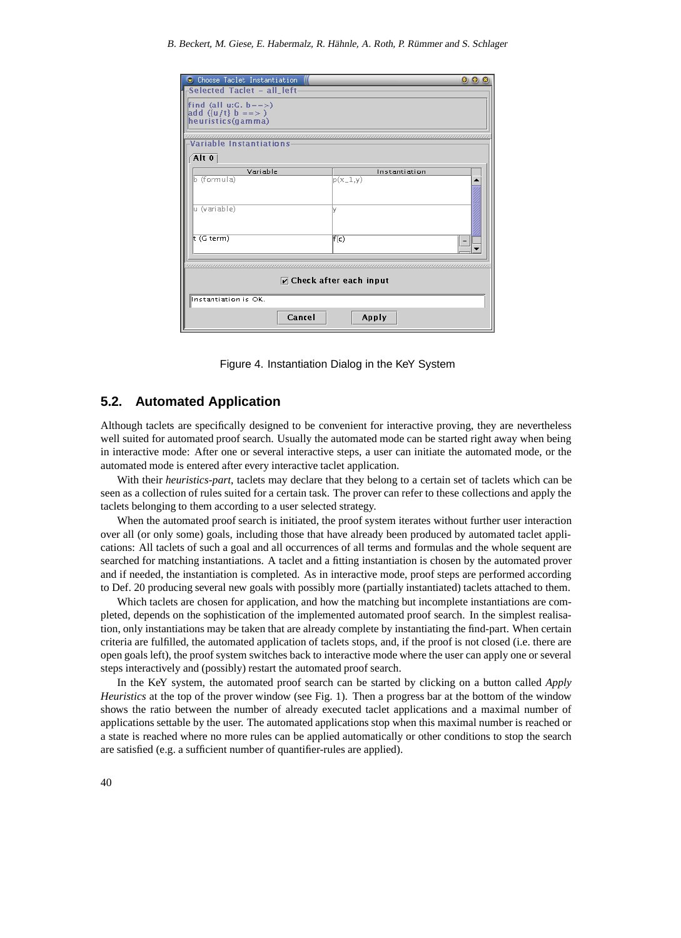| $\bullet$ Choose Taclet Instantiation<br>Ю<br>Selected Taclet - all_left<br>find (all $u:G, b == >$ )<br>$\text{add} (\{u/t\} \text{ } b \text{ } == \text{ } > )$<br>heuristics(gamma) |                             |  |  |  |
|-----------------------------------------------------------------------------------------------------------------------------------------------------------------------------------------|-----------------------------|--|--|--|
| Variable Instantiations<br>Alt 0                                                                                                                                                        |                             |  |  |  |
| Variable<br>b (formula)                                                                                                                                                                 | Instantiation<br>$p(x_1,y)$ |  |  |  |
| u (variable)                                                                                                                                                                            | v                           |  |  |  |
| t (G term)                                                                                                                                                                              | f(c)                        |  |  |  |
| $\nabla$ Check after each input<br>Instantiation is OK.                                                                                                                                 |                             |  |  |  |
| Cancel                                                                                                                                                                                  | Apply                       |  |  |  |

Figure 4. Instantiation Dialog in the KeY System

### **5.2. Automated Application**

Although taclets are specifically designed to be convenient for interactive proving, they are nevertheless well suited for automated proof search. Usually the automated mode can be started right away when being in interactive mode: After one or several interactive steps, a user can initiate the automated mode, or the automated mode is entered after every interactive taclet application.

With their *heuristics-part*, taclets may declare that they belong to a certain set of taclets which can be seen as a collection of rules suited for a certain task. The prover can refer to these collections and apply the taclets belonging to them according to a user selected strategy.

When the automated proof search is initiated, the proof system iterates without further user interaction over all (or only some) goals, including those that have already been produced by automated taclet applications: All taclets of such a goal and all occurrences of all terms and formulas and the whole sequent are searched for matching instantiations. A taclet and a fitting instantiation is chosen by the automated prover and if needed, the instantiation is completed. As in interactive mode, proof steps are performed according to Def. 20 producing several new goals with possibly more (partially instantiated) taclets attached to them.

Which taclets are chosen for application, and how the matching but incomplete instantiations are completed, depends on the sophistication of the implemented automated proof search. In the simplest realisation, only instantiations may be taken that are already complete by instantiating the find-part. When certain criteria are fulfilled, the automated application of taclets stops, and, if the proof is not closed (i.e. there are open goals left), the proof system switches back to interactive mode where the user can apply one or several steps interactively and (possibly) restart the automated proof search.

In the KeY system, the automated proof search can be started by clicking on a button called *Apply Heuristics* at the top of the prover window (see Fig. 1). Then a progress bar at the bottom of the window shows the ratio between the number of already executed taclet applications and a maximal number of applications settable by the user. The automated applications stop when this maximal number is reached or a state is reached where no more rules can be applied automatically or other conditions to stop the search are satisfied (e.g. a sufficient number of quantifier-rules are applied).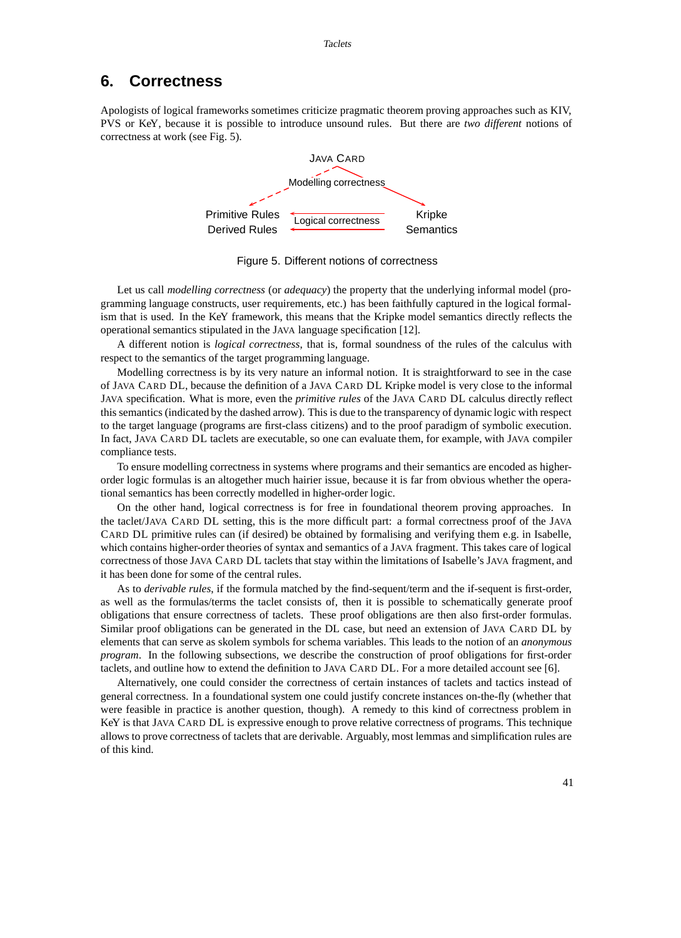## **6. Correctness**

Apologists of logical frameworks sometimes criticize pragmatic theorem proving approaches such as KIV, PVS or KeY, because it is possible to introduce unsound rules. But there are *two different* notions of correctness at work (see Fig. 5).



Figure 5. Different notions of correctness

Let us call *modelling correctness* (or *adequacy*) the property that the underlying informal model (programming language constructs, user requirements, etc.) has been faithfully captured in the logical formalism that is used. In the KeY framework, this means that the Kripke model semantics directly reflects the operational semantics stipulated in the JAVA language specification [12].

A different notion is *logical correctness*, that is, formal soundness of the rules of the calculus with respect to the semantics of the target programming language.

Modelling correctness is by its very nature an informal notion. It is straightforward to see in the case of JAVA CARD DL, because the definition of a JAVA CARD DL Kripke model is very close to the informal JAVA specification. What is more, even the *primitive rules* of the JAVA CARD DL calculus directly reflect this semantics (indicated by the dashed arrow). This is due to the transparency of dynamic logic with respect to the target language (programs are first-class citizens) and to the proof paradigm of symbolic execution. In fact, JAVA CARD DL taclets are executable, so one can evaluate them, for example, with JAVA compiler compliance tests.

To ensure modelling correctness in systems where programs and their semantics are encoded as higherorder logic formulas is an altogether much hairier issue, because it is far from obvious whether the operational semantics has been correctly modelled in higher-order logic.

On the other hand, logical correctness is for free in foundational theorem proving approaches. In the taclet/JAVA CARD DL setting, this is the more difficult part: a formal correctness proof of the JAVA CARD DL primitive rules can (if desired) be obtained by formalising and verifying them e.g. in Isabelle, which contains higher-order theories of syntax and semantics of a JAVA fragment. This takes care of logical correctness of those JAVA CARD DL taclets that stay within the limitations of Isabelle's JAVA fragment, and it has been done for some of the central rules.

As to *derivable rules*, if the formula matched by the find-sequent/term and the if-sequent is first-order, as well as the formulas/terms the taclet consists of, then it is possible to schematically generate proof obligations that ensure correctness of taclets. These proof obligations are then also first-order formulas. Similar proof obligations can be generated in the DL case, but need an extension of JAVA CARD DL by elements that can serve as skolem symbols for schema variables. This leads to the notion of an *anonymous program*. In the following subsections, we describe the construction of proof obligations for first-order taclets, and outline how to extend the definition to JAVA CARD DL. For a more detailed account see [6].

Alternatively, one could consider the correctness of certain instances of taclets and tactics instead of general correctness. In a foundational system one could justify concrete instances on-the-fly (whether that were feasible in practice is another question, though). A remedy to this kind of correctness problem in KeY is that JAVA CARD DL is expressive enough to prove relative correctness of programs. This technique allows to prove correctness of taclets that are derivable. Arguably, most lemmas and simplification rules are of this kind.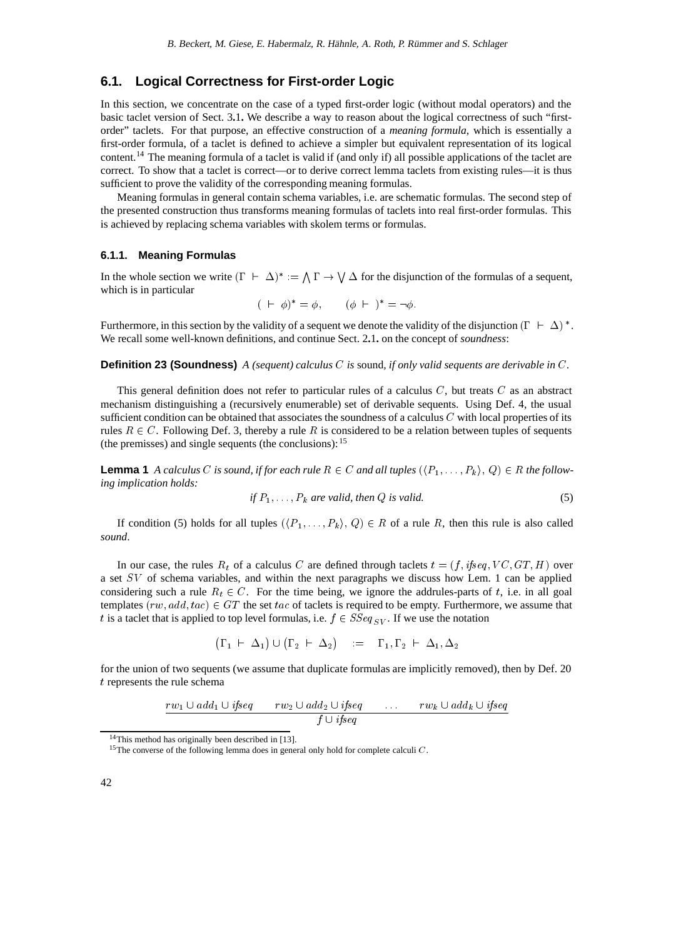### **6.1. Logical Correctness for First-order Logic**

In this section, we concentrate on the case of a typed first-order logic (without modal operators) and the basic taclet version of Sect. 3**.**1**.** We describe a way to reason about the logical correctness of such "firstorder" taclets. For that purpose, an effective construction of a *meaning formula*, which is essentially a first-order formula, of a taclet is defined to achieve a simpler but equivalent representation of its logical content.<sup>14</sup> The meaning formula of a taclet is valid if (and only if) all possible applications of the taclet are correct. To show that a taclet is correct—or to derive correct lemma taclets from existing rules—it is thus sufficient to prove the validity of the corresponding meaning formulas.

Meaning formulas in general contain schema variables, i.e. are schematic formulas. The second step of the presented construction thus transforms meaning formulas of taclets into real first-order formulas. This is achieved by replacing schema variables with skolem terms or formulas.

#### **6.1.1. Meaning Formulas**

In the whole section we write  $(\Gamma \vdash \Delta)^* := \bigwedge \Gamma \rightarrow \bigvee \Delta$  for the disjunction of the formulas of a sequent, which is in particular

 $( + \phi)^* = \phi,$   $(\phi +)^* = \neg \phi.$ 

Furthermore, in this section by the validity of a sequent we denote the validity of the disjunction  $(\Gamma \vdash \Delta)^*$ . We recall some well-known definitions, and continue Sect. 2**.**1**.** on the concept of *soundness*:

#### **Definition 23 (Soundness)** *A (sequent) calculus C* is sound, if only valid sequents are derivable in C.

This general definition does not refer to particular rules of a calculus  $C$ , but treats  $C$  as an abstract mechanism distinguishing a (recursively enumerable) set of derivable sequents. Using Def. 4, the usual sufficient condition can be obtained that associates the soundness of a calculus  $C$  with local properties of its rules  $R \in \mathbb{C}$ . Following Def. 3, thereby a rule R is considered to be a relation between tuples of sequents (the premisses) and single sequents (the conclusions):  $15$ 

**Lemma 1** A calculus C is sound, if for each rule  $R \in C$  and all tuples  $(\langle P_1, \ldots, P_k \rangle, Q) \in R$  the follow*ing implication holds:*

if 
$$
P_1, \ldots, P_k
$$
 are valid, then Q is valid. 
$$
(5)
$$

If condition (5) holds for all tuples  $(\langle P_1,\ldots,P_k\rangle, Q) \in R$  of a rule R, then this rule is also called *sound*.

In our case, the rules  $R_t$  of a calculus C are defined through taclets  $t = (f, ifseq, VC, GT, H)$  over a set  $SV$  of schema variables, and within the next paragraphs we discuss how Lem. 1 can be applied considering such a rule  $R_t \in C$ . For the time being, we ignore the addrules-parts of t, i.e. in all goal templates  $(rw, add, tac) \in GT$  the set tac of taclets is required to be empty. Furthermore, we assume that t is a taclet that is applied to top level formulas, i.e.  $f \in SSeq_{SV}$ . If we use the notation

 $(\Gamma_1 \vdash \Delta_1) \cup (\Gamma_2 \vdash \Delta_2)$  :=  $\Gamma_1, \Gamma_2 \vdash \Delta_1, \Delta_2$ 

for the union of two sequents (we assume that duplicate formulas are implicitly removed), then by Def. 20  $t$  represents the rule schema

$$
\frac{rw_1 \cup add_1 \cup ifseq}{f \cup ifseq} \cdot \frac{rw_2 \cup add_2 \cup ifseq}{f \cup ifseq} \cdot \dots \cdot \frac{rw_k \cup add_k \cup ifseq}{f \cup ifseq}
$$

<sup>14</sup>This method has originally been described in [13].

<sup>&</sup>lt;sup>15</sup>The converse of the following lemma does in general only hold for complete calculi  $C$ .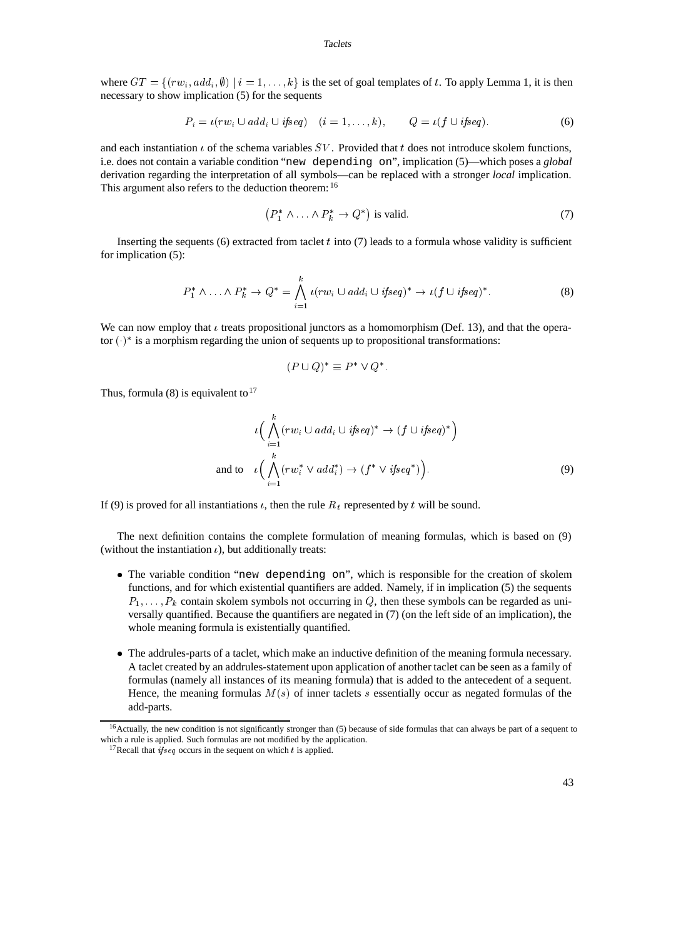where  $GT = \{ (rw_i, add_i, \emptyset) \mid i = 1, \ldots, k \}$  is the set of goal templates of t. To apply Lemma 1, it is then necessary to show implication (5) for the sequents

$$
P_i = \iota(rw_i \cup add_i \cup ifseq) \quad (i = 1, \ldots, k), \qquad Q = \iota(f \cup ifseq). \tag{6}
$$

and each instantiation  $\iota$  of the schema variables SV. Provided that t does not introduce skolem functions, i.e. does not contain a variable condition "new depending on", implication (5)—which poses a *global* derivation regarding the interpretation of all symbols—can be replaced with a stronger *local* implication. This argument also refers to the deduction theorem: <sup>16</sup>

$$
(P_1^* \wedge \ldots \wedge P_k^* \to Q^*) \text{ is valid.} \tag{7}
$$

Inserting the sequents (6) extracted from taclet  $t$  into (7) leads to a formula whose validity is sufficient for implication (5):

$$
P_1^* \wedge \ldots \wedge P_k^* \to Q^* = \bigwedge_{i=1}^k \iota(rw_i \cup add_i \cup ifseq)^* \to \iota(f \cup ifseq)^*.
$$
 (8)

We can now employ that  $\iota$  treats propositional junctors as a homomorphism (Def. 13), and that the operator  $( )^*$  is a morphism regarding the union of sequents up to propositional transformations:

$$
(P \cup Q)^* \equiv P^* \vee Q^*.
$$

Thus, formula (8) is equivalent to  $17$ 

$$
\iota\Big(\bigwedge_{i=1}^{k}(rw_i \cup add_i \cup ifseq)^* \to (f \cup ifseq)^*\Big)
$$
  
and to 
$$
\iota\Big(\bigwedge_{i=1}^{k}(rw_i^* \vee add_i^*) \to (f^* \vee ifseq^*)\Big).
$$
 (9)

If (9) is proved for all instantiations  $\iota$ , then the rule  $R_t$  represented by t will be sound.

The next definition contains the complete formulation of meaning formulas, which is based on (9) (without the instantiation  $\iota$ ), but additionally treats:

- The variable condition "new depending on", which is responsible for the creation of skolem functions, and for which existential quantifiers are added. Namely, if in implication (5) the sequents  $P_1, \ldots, P_k$  contain skolem symbols not occurring in Q, then these symbols can be regarded as universally quantified. Because the quantifiers are negated in (7) (on the left side of an implication), the whole meaning formula is existentially quantified.
- The addrules-parts of a taclet, which make an inductive definition of the meaning formula necessary. A taclet created by an addrules-statement upon application of another taclet can be seen as a family of formulas (namely all instances of its meaning formula) that is added to the antecedent of a sequent. Hence, the meaning formulas  $M(s)$  of inner taclets s essentially occur as negated formulas of the add-parts.

<sup>&</sup>lt;sup>16</sup>Actually, the new condition is not significantly stronger than (5) because of side formulas that can always be part of a sequent to which a rule is applied. Such formulas are not modified by the application.

<sup>&</sup>lt;sup>17</sup>Recall that *ifseq* occurs in the sequent on which  $t$  is applied.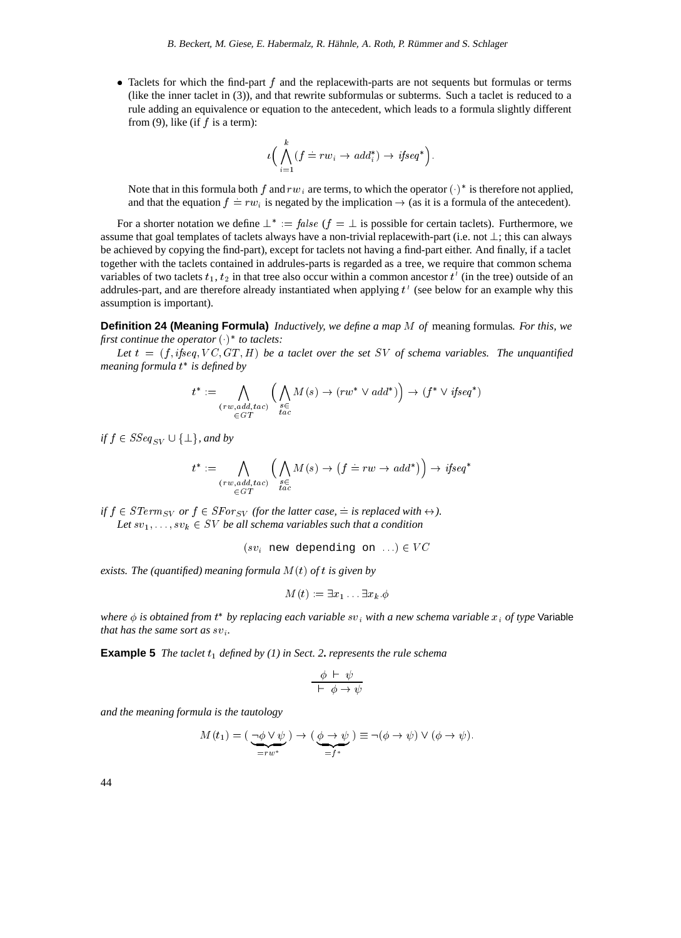• Taclets for which the find-part  $f$  and the replacewith-parts are not sequents but formulas or terms (like the inner taclet in (3)), and that rewrite subformulas or subterms. Such a taclet is reduced to a rule adding an equivalence or equation to the antecedent, which leads to a formula slightly different from (9), like (if  $f$  is a term):

$$
\iota\Big(\bigwedge_{i=1}^k (f\stackrel{\cdot}{=}rw_i\rightarrow add_i^*)\rightarrow ifseq^*\Big).
$$

Note that in this formula both f and  $rw_i$  are terms, to which the operator  $(\cdot)^*$  is therefore not applied, and that the equation  $f = rw_i$  is negated by the implication  $\rightarrow$  (as it is a formula of the antecedent).

For a shorter notation we define  $\perp^* := false$  ( $f = \perp$  is possible for certain taclets). Furthermore, we assume that goal templates of taclets always have a non-trivial replacewith-part (i.e. not  $\perp$ ; this can always be achieved by copying the find-part), except for taclets not having a find-part either. And finally, if a taclet together with the taclets contained in addrules-parts is regarded as a tree, we require that common schema variables of two taclets  $t_1, t_2$  in that tree also occur within a common ancestor  $t'$  (in the tree) outside of an addrules-part, and are therefore already instantiated when applying  $t'$  (see below for an example why this assumption is important).

**Definition 24 (Meaning Formula)** *Inductively, we define a map M* of meaning formulas. For this, we *first continue the operator to taclets:*

Let  $t = (f, ifseq, VC, GT, H)$  be a taclet over the set SV of schema variables. The unquantified *meaning formula is defined by*

$$
t^* := \bigwedge_{\substack{(rw, add, tac) \\ \in GT}} \Big(\bigwedge_{\substack{s \in \\ tac}} M(s) \to (rw^* \lor add^*)\Big) \to (f^* \lor i fseq^*)
$$

*if*  $f \in SSeq_{SV} \cup \{\perp\}$ , and by

$$
t^* := \bigwedge_{\substack{(rw, add, tac) \\ \in GT}} \Big(\bigwedge_{\substack{s \in \\ fac}} M(s) \to \big(f = rw \to add^*\big)\Big) \to ifseq^*
$$

*if*  $f \in STerm_{SV}$  or  $f \in SFor_{SV}$  (for the latter case,  $\dot{f}$  is replaced with  $\leftrightarrow$ ). Let  $sv_1, \ldots, sv_k \in SV$  be all schema variables such that a condition

$$
(sv_i \text{ new depending on } \ldots) \in VC
$$

*exists. The (quantified) meaning formula*  $M(t)$  *of t is given by* 

-

$$
M(t) := \exists x_1 \dots \exists x_k \phi
$$

where  $\phi$  is obtained from  $t^*$  by replacing each variable  $sv_i$  with a new schema variable  $x_i$  of type Variable *that has the same sort as*  $sv_i$ *.* 

**Example 5** *The taclet*  $t_1$  *defined by (1) in Sect. 2. represents the rule schema* 

$$
\frac{\phi + \psi}{\vdash \phi \rightarrow \psi}
$$

*and the meaning formula is the tautology*

$$
M(t_1) = (\underbrace{\neg \phi \lor \psi}_{=rw^*}) \to (\underbrace{\phi \to \psi}_{=f^*}) \equiv \neg (\phi \to \psi) \lor (\phi \to \psi).
$$

44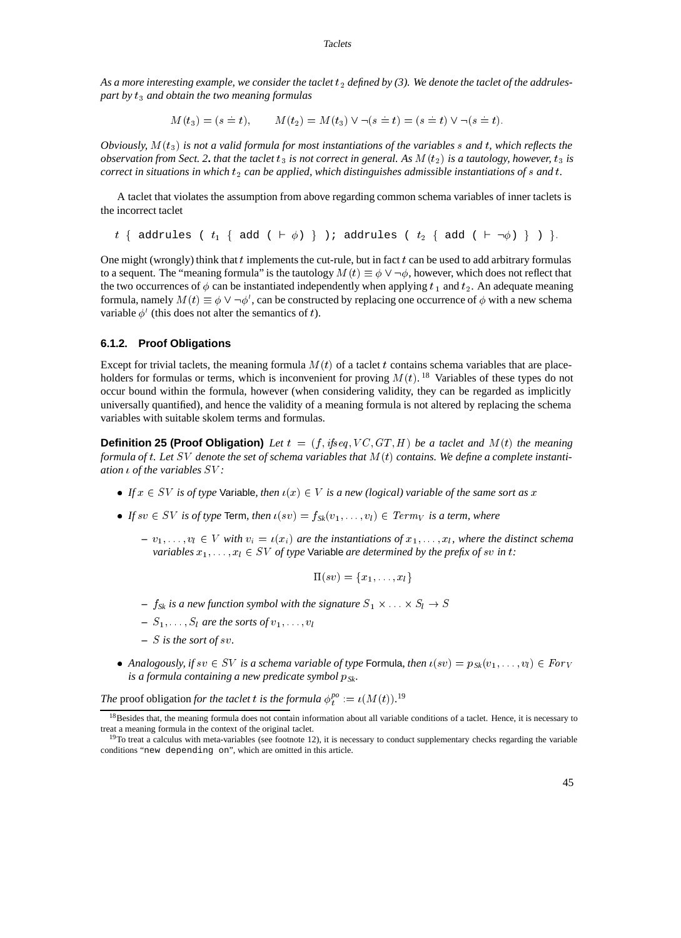As a more interesting example, we consider the taclet  $t_2$  defined by (3). We denote the taclet of the addrules*part by and obtain the two meaning formulas*

$$
M(t_3) = (s = t),
$$
  $M(t_2) = M(t_3) \vee \neg (s = t) = (s = t) \vee \neg (s = t).$ 

*Obviously,*  $M(t_3)$  is not a valid formula for most instantiations of the variables s and t, which reflects the *observation from Sect.* 2. *that the taclet*  $t_3$  *is not correct in general. As*  $M(t_2)$  *is a tautology, however,*  $t_3$  *is correct in situations in which*  $t_2$  can be applied, which distinguishes admissible instantiations of  $s$  and  $t$ .

A taclet that violates the assumption from above regarding common schema variables of inner taclets is the incorrect taclet

 $t$  { addrules (  $t_1$  { add (  $\vdash$   $\phi$ ) } ); addrules (  $t_2$  { add (  $\vdash$   $\neg \phi$ ) } ) }.

One might (wrongly) think that  $t$  implements the cut-rule, but in fact  $t$  can be used to add arbitrary formulas to a sequent. The "meaning formula" is the tautology  $M(t) \equiv \phi \vee \neg \phi$ , however, which does not reflect that the two occurrences of  $\phi$  can be instantiated independently when applying  $t_1$  and  $t_2$ . An adequate meaning formula, namely  $M(t) \equiv \phi \vee \neg \phi'$ , can be constructed by replacing one occurrence of  $\phi$  with a new schema variable  $\phi'$  (this does not alter the semantics of t).

#### **6.1.2. Proof Obligations**

Except for trivial taclets, the meaning formula  $M(t)$  of a taclet t contains schema variables that are placeholders for formulas or terms, which is inconvenient for proving  $M(t)$ . <sup>18</sup> Variables of these types do not occur bound within the formula, however (when considering validity, they can be regarded as implicitly universally quantified), and hence the validity of a meaning formula is not altered by replacing the schema variables with suitable skolem terms and formulas.

**Definition 25 (Proof Obligation)** Let  $t = (f, ifseq, VC, GT, H)$  be a taclet and  $M(t)$  the meaning *formula of t. Let* SV denote the set of schema variables that  $M(t)$  contains. We define a complete instanti*ation*  $\iota$  *of the variables*  $SV$ :

- If  $x \in SV$  is of type Variable, then  $\iota(x) \in V$  is a new (logical) variable of the same sort as x
- If  $sv \in SV$  is of type Term, then  $\iota(sv) = f_{Sk}(v_1, \ldots, v_l) \in \text{Term}_V$  is a term, where
	- $v_1, \ldots, v_l \in V$  with  $v_i = \iota(x_i)$  are the instantiations of  $x_1, \ldots, x_l$ , where the distinct schema *variables*  $x_1, \ldots, x_l \in SV$  *of type* Variable *are determined by the prefix of sv in t:*

$$
\Pi(sv)=\{x_1,\ldots,x_l\}
$$

- $f_{Sk}$  *is a new function symbol with the signature*  $S_1 \times \ldots \times S_l \rightarrow S$
- $S_1, \ldots, S_l$  are the sorts of  $v_1, \ldots, v_l$
- $S$  *is the sort of sv.*
- Analogously, if  $sv \in SV$  is a schema variable of type Formula, then  $\iota(sv) = p_{St}(v_1, \ldots, v_l) \in For_V$ *is a formula containing a new predicate symbol*  $p_{Sk}$ .

*The* proof obligation *for the taclet t is the formula*  $\phi_t^{po} := \iota(M(t))$ .<sup>19</sup>

 $18$ Besides that, the meaning formula does not contain information about all variable conditions of a taclet. Hence, it is necessary to treat a meaning formula in the context of the original taclet.

 $19$ To treat a calculus with meta-variables (see footnote 12), it is necessary to conduct supplementary checks regarding the variable conditions "new depending on", which are omitted in this article.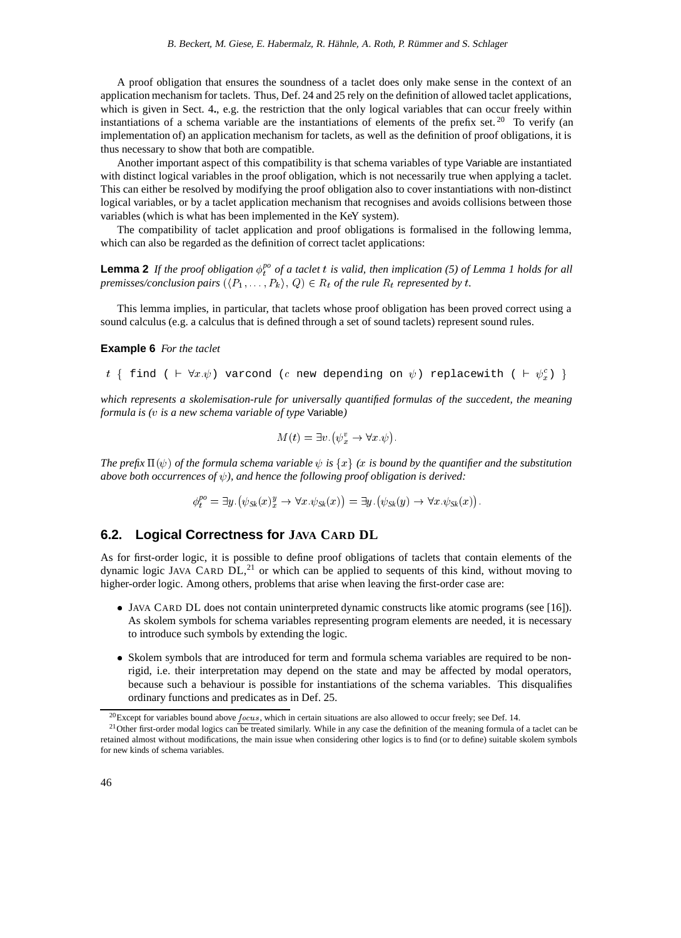A proof obligation that ensures the soundness of a taclet does only make sense in the context of an application mechanism for taclets. Thus, Def. 24 and 25 rely on the definition of allowed taclet applications, which is given in Sect. 4, e.g. the restriction that the only logical variables that can occur freely within instantiations of a schema variable are the instantiations of elements of the prefix set.<sup>20</sup> To verify (an implementation of) an application mechanism for taclets, as well as the definition of proof obligations, it is thus necessary to show that both are compatible.

Another important aspect of this compatibility is that schema variables of type Variable are instantiated with distinct logical variables in the proof obligation, which is not necessarily true when applying a taclet. This can either be resolved by modifying the proof obligation also to cover instantiations with non-distinct logical variables, or by a taclet application mechanism that recognises and avoids collisions between those variables (which is what has been implemented in the KeY system).

The compatibility of taclet application and proof obligations is formalised in the following lemma, which can also be regarded as the definition of correct taclet applications:

**Lemma 2** If the proof obligation  $\phi_t^{po}$  of a taclet t is valid, then implication (5) of Lemma 1 holds for all *premisses/conclusion pairs*  $(\langle P_1, \ldots, P_k \rangle, Q) \in R_t$  *of the rule*  $R_t$  *represented by t.* 

This lemma implies, in particular, that taclets whose proof obligation has been proved correct using a sound calculus (e.g. a calculus that is defined through a set of sound taclets) represent sound rules.

#### **Example 6** *For the taclet*

 $t$  { find (  $\vdash \forall x.\psi$ ) varcond ( $c$  new depending on  $\psi$ ) replacewith (  $\vdash \psi^c_x$ ) }

*which represents a skolemisation-rule for universally quantified formulas of the succedent, the meaning formula is ( is a new schema variable of type* Variable*)*

$$
M(t) = \exists v. (\psi_x^v \to \forall x. \psi).
$$

The prefix  $\Pi(\psi)$  of the formula schema variable  $\psi$  is  $\{x\}$  ( $x$  is bound by the quantifier and the substitution  $a$ bove both occurrences of  $\psi$ ), and hence the following proof obligation is derived:

$$
\phi_t^{po} = \exists y. (\psi_{\mathit{Sk}}(x)_{x}^{y} \rightarrow \forall x. \psi_{\mathit{Sk}}(x)) = \exists y. (\psi_{\mathit{Sk}}(y) \rightarrow \forall x. \psi_{\mathit{Sk}}(x)).
$$

#### **6.2. Logical Correctness for JAVA CARD DL**

As for first-order logic, it is possible to define proof obligations of taclets that contain elements of the dynamic logic JAVA CARD  $DL<sub>1</sub><sup>21</sup>$  or which can be applied to sequents of this kind, without moving to higher-order logic. Among others, problems that arise when leaving the first-order case are:

- JAVA CARD DL does not contain uninterpreted dynamic constructs like atomic programs (see [16]). As skolem symbols for schema variables representing program elements are needed, it is necessary to introduce such symbols by extending the logic.
- Skolem symbols that are introduced for term and formula schema variables are required to be nonrigid, i.e. their interpretation may depend on the state and may be affected by modal operators, because such a behaviour is possible for instantiations of the schema variables. This disqualifies ordinary functions and predicates as in Def. 25.

<sup>&</sup>lt;sup>20</sup>Except for variables bound above  $focus$ , which in certain situations are also allowed to occur freely; see Def. 14.

<sup>&</sup>lt;sup>21</sup>Other first-order modal logics can be treated similarly. While in any case the definition of the meaning formula of a taclet can be retained almost without modifications, the main issue when considering other logics is to find (or to define) suitable skolem symbols for new kinds of schema variables.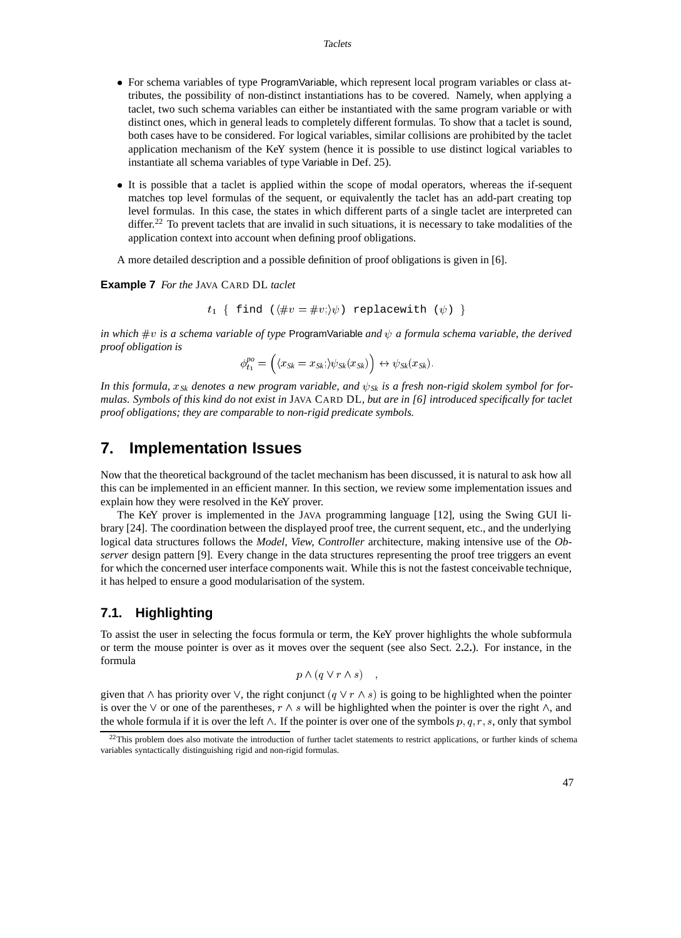- For schema variables of type ProgramVariable, which represent local program variables or class attributes, the possibility of non-distinct instantiations has to be covered. Namely, when applying a taclet, two such schema variables can either be instantiated with the same program variable or with distinct ones, which in general leads to completely different formulas. To show that a taclet is sound, both cases have to be considered. For logical variables, similar collisions are prohibited by the taclet application mechanism of the KeY system (hence it is possible to use distinct logical variables to instantiate all schema variables of type Variable in Def. 25).
- It is possible that a taclet is applied within the scope of modal operators, whereas the if-sequent matches top level formulas of the sequent, or equivalently the taclet has an add-part creating top level formulas. In this case, the states in which different parts of a single taclet are interpreted can differ.<sup>22</sup> To prevent taclets that are invalid in such situations, it is necessary to take modalities of the application context into account when defining proof obligations.

A more detailed description and a possible definition of proof obligations is given in [6].

**Example 7** *For the* JAVA CARD DL *taclet*

 $t_1$  { find ( $\langle \#v = \#v \rangle \psi$ ) replacewith ( $\psi$ ) }

in which  $\#v$  is a schema variable of type <code>ProgramVariable</code> and  $\psi$  a formula schema variable, the derived *proof obligation is*

$$
\phi_{t_1}^{po} = \left( \langle x_{Sk} = x_{Sk} \rangle \psi_{Sk}(x_{Sk}) \right) \leftrightarrow \psi_{Sk}(x_{Sk}).
$$

In this formula,  $x_{Sk}$  denotes a new program variable, and  $\psi_{Sk}$  is a fresh non-rigid skolem symbol for for*mulas. Symbols of this kind do not exist in* JAVA CARD DL*, but are in [6] introduced specifically for taclet proof obligations; they are comparable to non-rigid predicate symbols.*

## **7. Implementation Issues**

Now that the theoretical background of the taclet mechanism has been discussed, it is natural to ask how all this can be implemented in an efficient manner. In this section, we review some implementation issues and explain how they were resolved in the KeY prover.

The KeY prover is implemented in the JAVA programming language [12], using the Swing GUI library [24]. The coordination between the displayed proof tree, the current sequent, etc., and the underlying logical data structures follows the *Model, View, Controller* architecture, making intensive use of the *Observer* design pattern [9]. Every change in the data structures representing the proof tree triggers an event for which the concerned user interface components wait. While this is not the fastest conceivable technique, it has helped to ensure a good modularisation of the system.

### **7.1. Highlighting**

To assist the user in selecting the focus formula or term, the KeY prover highlights the whole subformula or term the mouse pointer is over as it moves over the sequent (see also Sect. 2**.**2**.**). For instance, in the formula

$$
p \wedge (q \vee r \wedge s) \quad ,
$$

given that  $\wedge$  has priority over  $\vee$ , the right conjunct  $(q \vee r \wedge s)$  is going to be highlighted when the pointer is over the  $\vee$  or one of the parentheses,  $r \wedge s$  will be highlighted when the pointer is over the right  $\wedge$ , and the whole formula if it is over the left  $\wedge$ . If the pointer is over one of the symbols  $p, q, r, s$ , only that symbol

 $22$ This problem does also motivate the introduction of further taclet statements to restrict applications, or further kinds of schema variables syntactically distinguishing rigid and non-rigid formulas.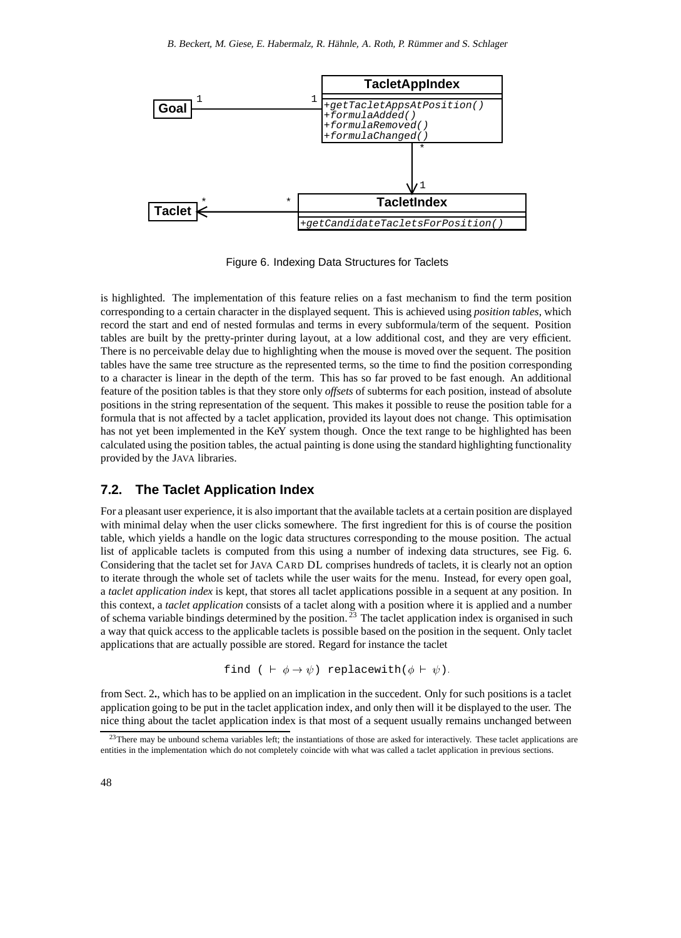

Figure 6. Indexing Data Structures for Taclets

is highlighted. The implementation of this feature relies on a fast mechanism to find the term position corresponding to a certain character in the displayed sequent. This is achieved using *position tables*, which record the start and end of nested formulas and terms in every subformula/term of the sequent. Position tables are built by the pretty-printer during layout, at a low additional cost, and they are very efficient. There is no perceivable delay due to highlighting when the mouse is moved over the sequent. The position tables have the same tree structure as the represented terms, so the time to find the position corresponding to a character is linear in the depth of the term. This has so far proved to be fast enough. An additional feature of the position tables is that they store only *offsets* of subterms for each position, instead of absolute positions in the string representation of the sequent. This makes it possible to reuse the position table for a formula that is not affected by a taclet application, provided its layout does not change. This optimisation has not yet been implemented in the KeY system though. Once the text range to be highlighted has been calculated using the position tables, the actual painting is done using the standard highlighting functionality provided by the JAVA libraries.

### **7.2. The Taclet Application Index**

For a pleasant user experience, it is also important that the available taclets at a certain position are displayed with minimal delay when the user clicks somewhere. The first ingredient for this is of course the position table, which yields a handle on the logic data structures corresponding to the mouse position. The actual list of applicable taclets is computed from this using a number of indexing data structures, see Fig. 6. Considering that the taclet set for JAVA CARD DL comprises hundreds of taclets, it is clearly not an option to iterate through the whole set of taclets while the user waits for the menu. Instead, for every open goal, a *taclet application index* is kept, that stores all taclet applications possible in a sequent at any position. In this context, a *taclet application* consists of a taclet along with a position where it is applied and a number of schema variable bindings determined by the position.  $^{23}$  The taclet application index is organised in such a way that quick access to the applicable taclets is possible based on the position in the sequent. Only taclet applications that are actually possible are stored. Regard for instance the taclet

find 
$$
(\vdash \phi \rightarrow \psi)
$$
 replacewith $(\phi \vdash \psi)$ .

from Sect. 2**.**, which has to be applied on an implication in the succedent. Only for such positions is a taclet application going to be put in the taclet application index, and only then will it be displayed to the user. The nice thing about the taclet application index is that most of a sequent usually remains unchanged between

 $23$ There may be unbound schema variables left; the instantiations of those are asked for interactively. These taclet applications are entities in the implementation which do not completely coincide with what was called a taclet application in previous sections.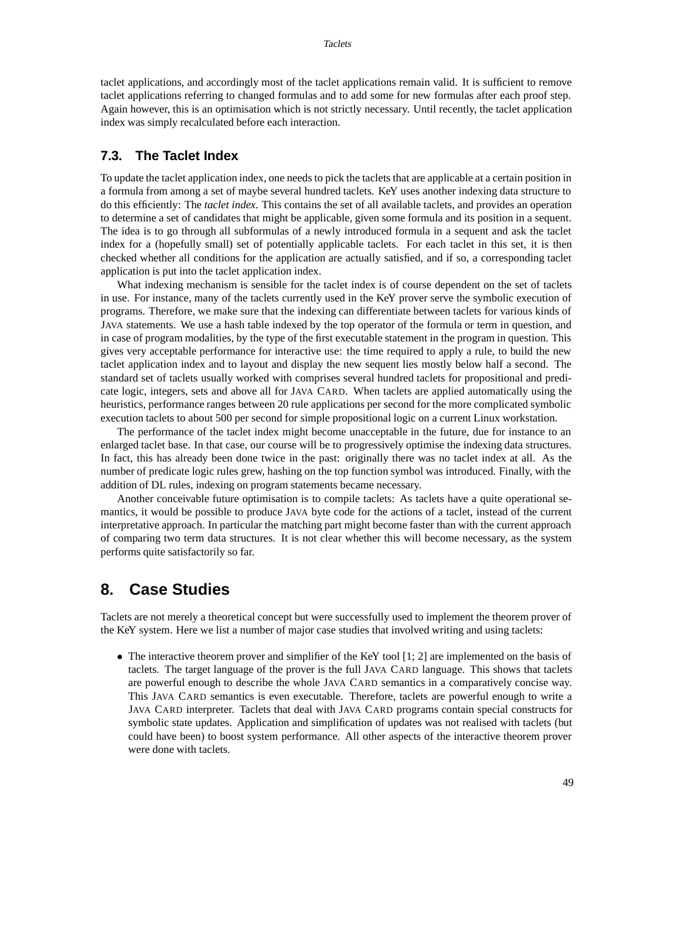taclet applications, and accordingly most of the taclet applications remain valid. It is sufficient to remove taclet applications referring to changed formulas and to add some for new formulas after each proof step. Again however, this is an optimisation which is not strictly necessary. Until recently, the taclet application index was simply recalculated before each interaction.

#### **7.3. The Taclet Index**

To update the taclet application index, one needs to pick the taclets that are applicable at a certain position in a formula from among a set of maybe several hundred taclets. KeY uses another indexing data structure to do this efficiently: The *taclet index*. This contains the set of all available taclets, and provides an operation to determine a set of candidates that might be applicable, given some formula and its position in a sequent. The idea is to go through all subformulas of a newly introduced formula in a sequent and ask the taclet index for a (hopefully small) set of potentially applicable taclets. For each taclet in this set, it is then checked whether all conditions for the application are actually satisfied, and if so, a corresponding taclet application is put into the taclet application index.

What indexing mechanism is sensible for the taclet index is of course dependent on the set of taclets in use. For instance, many of the taclets currently used in the KeY prover serve the symbolic execution of programs. Therefore, we make sure that the indexing can differentiate between taclets for various kinds of JAVA statements. We use a hash table indexed by the top operator of the formula or term in question, and in case of program modalities, by the type of the first executable statement in the program in question. This gives very acceptable performance for interactive use: the time required to apply a rule, to build the new taclet application index and to layout and display the new sequent lies mostly below half a second. The standard set of taclets usually worked with comprises several hundred taclets for propositional and predicate logic, integers, sets and above all for JAVA CARD. When taclets are applied automatically using the heuristics, performance ranges between 20 rule applications per second for the more complicated symbolic execution taclets to about 500 per second for simple propositional logic on a current Linux workstation.

The performance of the taclet index might become unacceptable in the future, due for instance to an enlarged taclet base. In that case, our course will be to progressively optimise the indexing data structures. In fact, this has already been done twice in the past: originally there was no taclet index at all. As the number of predicate logic rules grew, hashing on the top function symbol was introduced. Finally, with the addition of DL rules, indexing on program statements became necessary.

Another conceivable future optimisation is to compile taclets: As taclets have a quite operational semantics, it would be possible to produce JAVA byte code for the actions of a taclet, instead of the current interpretative approach. In particular the matching part might become faster than with the current approach of comparing two term data structures. It is not clear whether this will become necessary, as the system performs quite satisfactorily so far.

## **8. Case Studies**

Taclets are not merely a theoretical concept but were successfully used to implement the theorem prover of the KeY system. Here we list a number of major case studies that involved writing and using taclets:

• The interactive theorem prover and simplifier of the KeY tool [1; 2] are implemented on the basis of taclets. The target language of the prover is the full JAVA CARD language. This shows that taclets are powerful enough to describe the whole JAVA CARD semantics in a comparatively concise way. This JAVA CARD semantics is even executable. Therefore, taclets are powerful enough to write a JAVA CARD interpreter. Taclets that deal with JAVA CARD programs contain special constructs for symbolic state updates. Application and simplification of updates was not realised with taclets (but could have been) to boost system performance. All other aspects of the interactive theorem prover were done with taclets.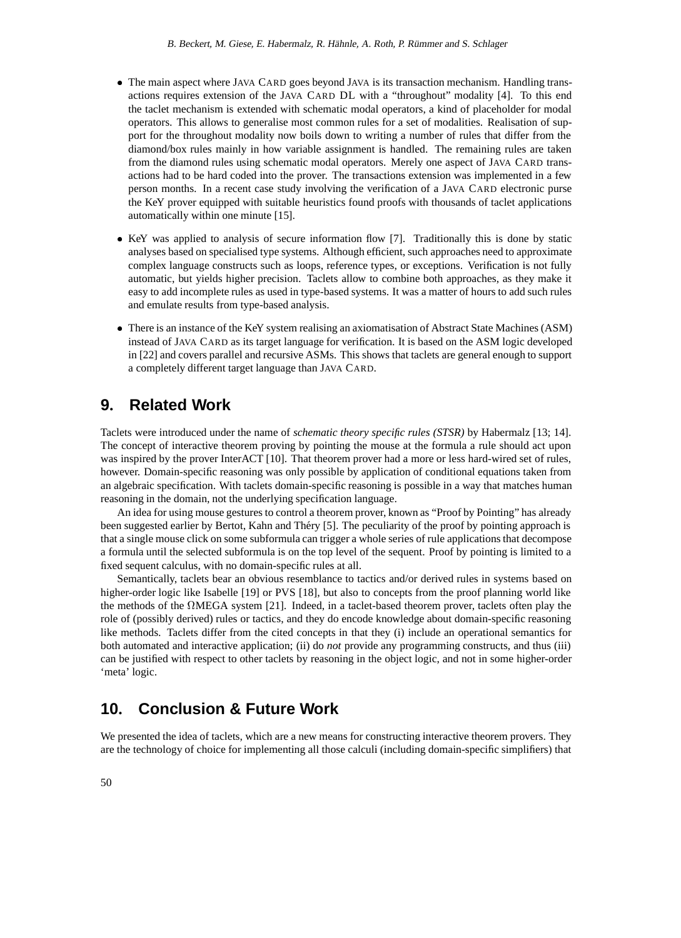- The main aspect where JAVA CARD goes beyond JAVA is its transaction mechanism. Handling transactions requires extension of the JAVA CARD DL with a "throughout" modality [4]. To this end the taclet mechanism is extended with schematic modal operators, a kind of placeholder for modal operators. This allows to generalise most common rules for a set of modalities. Realisation of support for the throughout modality now boils down to writing a number of rules that differ from the diamond/box rules mainly in how variable assignment is handled. The remaining rules are taken from the diamond rules using schematic modal operators. Merely one aspect of JAVA CARD transactions had to be hard coded into the prover. The transactions extension was implemented in a few person months. In a recent case study involving the verification of a JAVA CARD electronic purse the KeY prover equipped with suitable heuristics found proofs with thousands of taclet applications automatically within one minute [15].
- KeY was applied to analysis of secure information flow [7]. Traditionally this is done by static analyses based on specialised type systems. Although efficient, such approaches need to approximate complex language constructs such as loops, reference types, or exceptions. Verification is not fully automatic, but yields higher precision. Taclets allow to combine both approaches, as they make it easy to add incomplete rules as used in type-based systems. It was a matter of hours to add such rules and emulate results from type-based analysis.
- There is an instance of the KeY system realising an axiomatisation of Abstract State Machines (ASM) instead of JAVA CARD as its target language for verification. It is based on the ASM logic developed in [22] and covers parallel and recursive ASMs. This shows that taclets are general enough to support a completely different target language than JAVA CARD.

## **9. Related Work**

Taclets were introduced under the name of *schematic theory specific rules (STSR)* by Habermalz [13; 14]. The concept of interactive theorem proving by pointing the mouse at the formula a rule should act upon was inspired by the prover InterACT [10]. That theorem prover had a more or less hard-wired set of rules, however. Domain-specific reasoning was only possible by application of conditional equations taken from an algebraic specification. With taclets domain-specific reasoning is possible in a way that matches human reasoning in the domain, not the underlying specification language.

An idea for using mouse gestures to control a theorem prover, known as "Proof by Pointing" has already been suggested earlier by Bertot, Kahn and Théry [5]. The peculiarity of the proof by pointing approach is that a single mouse click on some subformula can trigger a whole series of rule applications that decompose a formula until the selected subformula is on the top level of the sequent. Proof by pointing is limited to a fixed sequent calculus, with no domain-specific rules at all.

Semantically, taclets bear an obvious resemblance to tactics and/or derived rules in systems based on higher-order logic like Isabelle [19] or PVS [18], but also to concepts from the proof planning world like the methods of the  $\Omega$ MEGA system [21]. Indeed, in a taclet-based theorem prover, taclets often play the role of (possibly derived) rules or tactics, and they do encode knowledge about domain-specific reasoning like methods. Taclets differ from the cited concepts in that they (i) include an operational semantics for both automated and interactive application; (ii) do *not* provide any programming constructs, and thus (iii) can be justified with respect to other taclets by reasoning in the object logic, and not in some higher-order 'meta' logic.

## **10. Conclusion & Future Work**

We presented the idea of taclets, which are a new means for constructing interactive theorem provers. They are the technology of choice for implementing all those calculi (including domain-specific simplifiers) that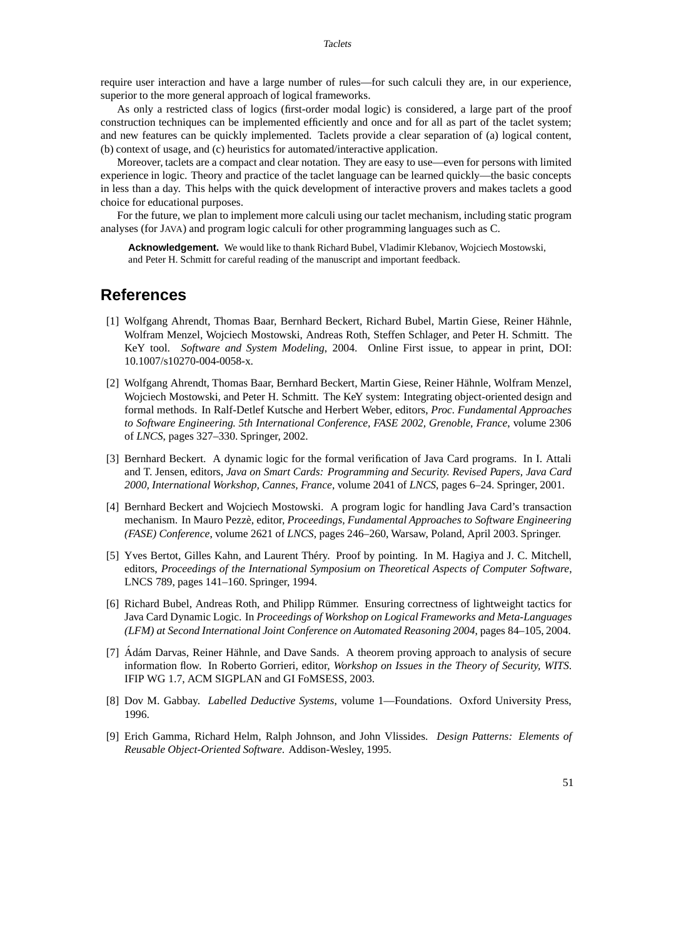require user interaction and have a large number of rules—for such calculi they are, in our experience, superior to the more general approach of logical frameworks.

As only a restricted class of logics (first-order modal logic) is considered, a large part of the proof construction techniques can be implemented efficiently and once and for all as part of the taclet system; and new features can be quickly implemented. Taclets provide a clear separation of (a) logical content, (b) context of usage, and (c) heuristics for automated/interactive application.

Moreover, taclets are a compact and clear notation. They are easy to use—even for persons with limited experience in logic. Theory and practice of the taclet language can be learned quickly—the basic concepts in less than a day. This helps with the quick development of interactive provers and makes taclets a good choice for educational purposes.

For the future, we plan to implement more calculi using our taclet mechanism, including static program analyses (for JAVA) and program logic calculi for other programming languages such as C.

**Acknowledgement.** We would like to thank Richard Bubel, Vladimir Klebanov, Wojciech Mostowski, and Peter H. Schmitt for careful reading of the manuscript and important feedback.

## **References**

- [1] Wolfgang Ahrendt, Thomas Baar, Bernhard Beckert, Richard Bubel, Martin Giese, Reiner Hähnle, Wolfram Menzel, Wojciech Mostowski, Andreas Roth, Steffen Schlager, and Peter H. Schmitt. The KeY tool. *Software and System Modeling*, 2004. Online First issue, to appear in print, DOI: 10.1007/s10270-004-0058-x.
- [2] Wolfgang Ahrendt, Thomas Baar, Bernhard Beckert, Martin Giese, Reiner Hähnle, Wolfram Menzel, Wojciech Mostowski, and Peter H. Schmitt. The KeY system: Integrating object-oriented design and formal methods. In Ralf-Detlef Kutsche and Herbert Weber, editors, *Proc. Fundamental Approaches to Software Engineering. 5th International Conference, FASE 2002, Grenoble, France*, volume 2306 of *LNCS*, pages 327–330. Springer, 2002.
- [3] Bernhard Beckert. A dynamic logic for the formal verification of Java Card programs. In I. Attali and T. Jensen, editors, *Java on Smart Cards: Programming and Security. Revised Papers, Java Card 2000, International Workshop, Cannes, France*, volume 2041 of *LNCS*, pages 6–24. Springer, 2001.
- [4] Bernhard Beckert and Wojciech Mostowski. A program logic for handling Java Card's transaction mechanism. In Mauro Pezzè, editor, *Proceedings, Fundamental Approaches to Software Engineering (FASE) Conference*, volume 2621 of *LNCS*, pages 246–260, Warsaw, Poland, April 2003. Springer.
- [5] Yves Bertot, Gilles Kahn, and Laurent Théry. Proof by pointing. In M. Hagiya and J. C. Mitchell, editors, *Proceedings of the International Symposium on Theoretical Aspects of Computer Software*, LNCS 789, pages 141–160. Springer, 1994.
- [6] Richard Bubel, Andreas Roth, and Philipp Rümmer. Ensuring correctness of lightweight tactics for Java Card Dynamic Logic. In *Proceedings of Workshop on Logical Frameworks and Meta-Languages (LFM) at Second International Joint Conference on Automated Reasoning 2004*, pages 84–105, 2004.
- [7] Adám Darvas, Reiner Hähnle, and Dave Sands. A theorem proving approach to analysis of secure information flow. In Roberto Gorrieri, editor, *Workshop on Issues in the Theory of Security, WITS*. IFIP WG 1.7, ACM SIGPLAN and GI FoMSESS, 2003.
- [8] Dov M. Gabbay. *Labelled Deductive Systems*, volume 1—Foundations. Oxford University Press, 1996.
- [9] Erich Gamma, Richard Helm, Ralph Johnson, and John Vlissides. *Design Patterns: Elements of Reusable Object-Oriented Software*. Addison-Wesley, 1995.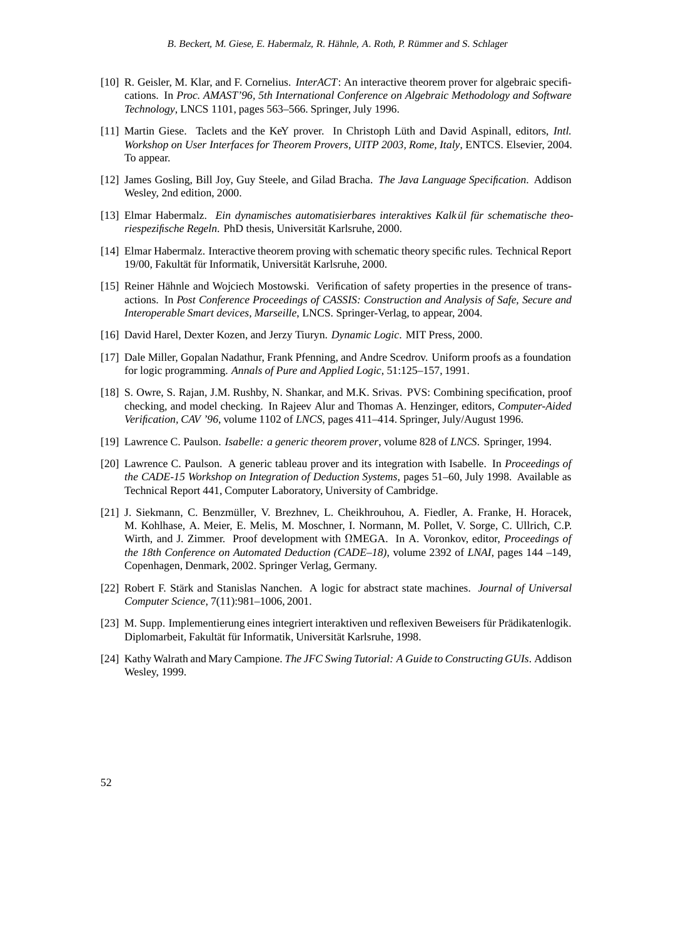- [10] R. Geisler, M. Klar, and F. Cornelius. *InterACT*: An interactive theorem prover for algebraic specifications. In *Proc. AMAST'96, 5th International Conference on Algebraic Methodology and Software Technology*, LNCS 1101, pages 563–566. Springer, July 1996.
- [11] Martin Giese. Taclets and the KeY prover. In Christoph Lüth and David Aspinall, editors, *Intl. Workshop on User Interfaces for Theorem Provers, UITP 2003, Rome, Italy*, ENTCS. Elsevier, 2004. To appear.
- [12] James Gosling, Bill Joy, Guy Steele, and Gilad Bracha. *The Java Language Specification*. Addison Wesley, 2nd edition, 2000.
- [13] Elmar Habermalz. *Ein dynamisches automatisierbares interaktives Kalkül für schematische theo*riespezifische Regeln. PhD thesis, Universität Karlsruhe, 2000.
- [14] Elmar Habermalz. Interactive theorem proving with schematic theory specific rules. Technical Report 19/00, Fakultät für Informatik, Universität Karlsruhe, 2000.
- [15] Reiner Hähnle and Wojciech Mostowski. Verification of safety properties in the presence of transactions. In *Post Conference Proceedings of CASSIS: Construction and Analysis of Safe, Secure and Interoperable Smart devices, Marseille*, LNCS. Springer-Verlag, to appear, 2004.
- [16] David Harel, Dexter Kozen, and Jerzy Tiuryn. *Dynamic Logic*. MIT Press, 2000.
- [17] Dale Miller, Gopalan Nadathur, Frank Pfenning, and Andre Scedrov. Uniform proofs as a foundation for logic programming. *Annals of Pure and Applied Logic*, 51:125–157, 1991.
- [18] S. Owre, S. Rajan, J.M. Rushby, N. Shankar, and M.K. Srivas. PVS: Combining specification, proof checking, and model checking. In Rajeev Alur and Thomas A. Henzinger, editors, *Computer-Aided Verification, CAV '96*, volume 1102 of *LNCS*, pages 411–414. Springer, July/August 1996.
- [19] Lawrence C. Paulson. *Isabelle: a generic theorem prover*, volume 828 of *LNCS*. Springer, 1994.
- [20] Lawrence C. Paulson. A generic tableau prover and its integration with Isabelle. In *Proceedings of the CADE-15 Workshop on Integration of Deduction Systems*, pages 51–60, July 1998. Available as Technical Report 441, Computer Laboratory, University of Cambridge.
- [21] J. Siekmann, C. Benzm¨uller, V. Brezhnev, L. Cheikhrouhou, A. Fiedler, A. Franke, H. Horacek, M. Kohlhase, A. Meier, E. Melis, M. Moschner, I. Normann, M. Pollet, V. Sorge, C. Ullrich, C.P. Wirth, and J. Zimmer. Proof development with MEGA. In A. Voronkov, editor, *Proceedings of the 18th Conference on Automated Deduction (CADE–18)*, volume 2392 of *LNAI*, pages 144 –149, Copenhagen, Denmark, 2002. Springer Verlag, Germany.
- [22] Robert F. Stärk and Stanislas Nanchen. A logic for abstract state machines. *Journal of Universal Computer Science*, 7(11):981–1006, 2001.
- [23] M. Supp. Implementierung eines integriert interaktiven und reflexiven Beweisers für Prädikatenlogik. Diplomarbeit, Fakultät für Informatik, Universität Karlsruhe, 1998.
- [24] Kathy Walrath and Mary Campione. *The JFC Swing Tutorial: A Guide to Constructing GUIs*. Addison Wesley, 1999.